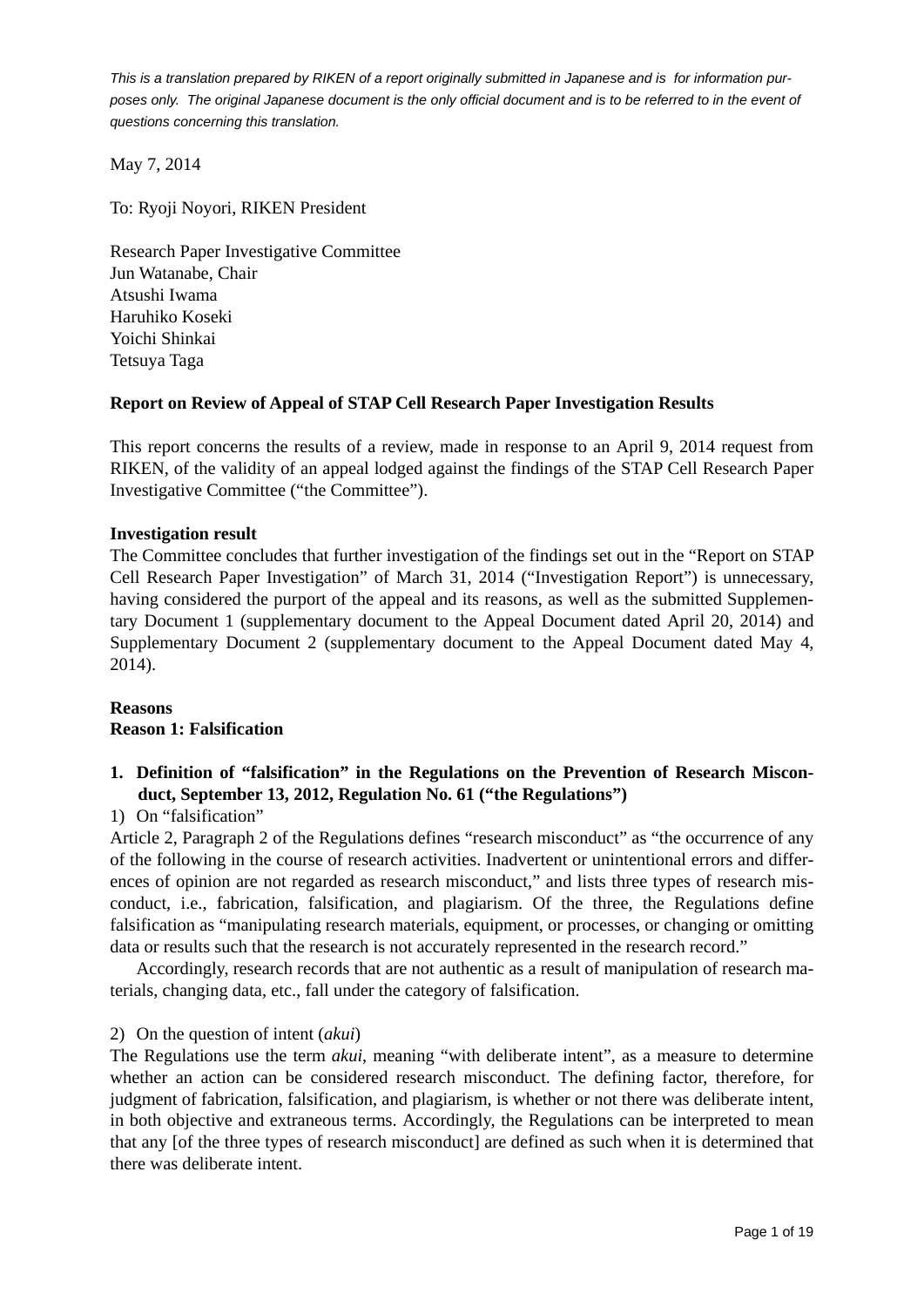May 7, 2014

To: Ryoji Noyori, RIKEN President

Research Paper Investigative Committee Jun Watanabe, Chair Atsushi Iwama Haruhiko Koseki Yoichi Shinkai Tetsuya Taga

# **Report on Review of Appeal of STAP Cell Research Paper Investigation Results**

This report concerns the results of a review, made in response to an April 9, 2014 request from RIKEN, of the validity of an appeal lodged against the findings of the STAP Cell Research Paper Investigative Committee ("the Committee").

### **Investigation result**

The Committee concludes that further investigation of the findings set out in the "Report on STAP Cell Research Paper Investigation" of March 31, 2014 ("Investigation Report") is unnecessary, having considered the purport of the appeal and its reasons, as well as the submitted Supplementary Document 1 (supplementary document to the Appeal Document dated April 20, 2014) and Supplementary Document 2 (supplementary document to the Appeal Document dated May 4, 2014).

# **Reasons Reason 1: Falsification**

# **1. Definition of "falsification" in the Regulations on the Prevention of Research Misconduct, September 13, 2012, Regulation No. 61 ("the Regulations")**

### 1) On "falsification"

Article 2, Paragraph 2 of the Regulations defines "research misconduct" as "the occurrence of any of the following in the course of research activities. Inadvertent or unintentional errors and differences of opinion are not regarded as research misconduct," and lists three types of research misconduct, i.e., fabrication, falsification, and plagiarism. Of the three, the Regulations define falsification as "manipulating research materials, equipment, or processes, or changing or omitting data or results such that the research is not accurately represented in the research record."

 Accordingly, research records that are not authentic as a result of manipulation of research materials, changing data, etc., fall under the category of falsification.

### 2) On the question of intent (*akui*)

The Regulations use the term *akui*, meaning "with deliberate intent", as a measure to determine whether an action can be considered research misconduct. The defining factor, therefore, for judgment of fabrication, falsification, and plagiarism, is whether or not there was deliberate intent, in both objective and extraneous terms. Accordingly, the Regulations can be interpreted to mean that any [of the three types of research misconduct] are defined as such when it is determined that there was deliberate intent.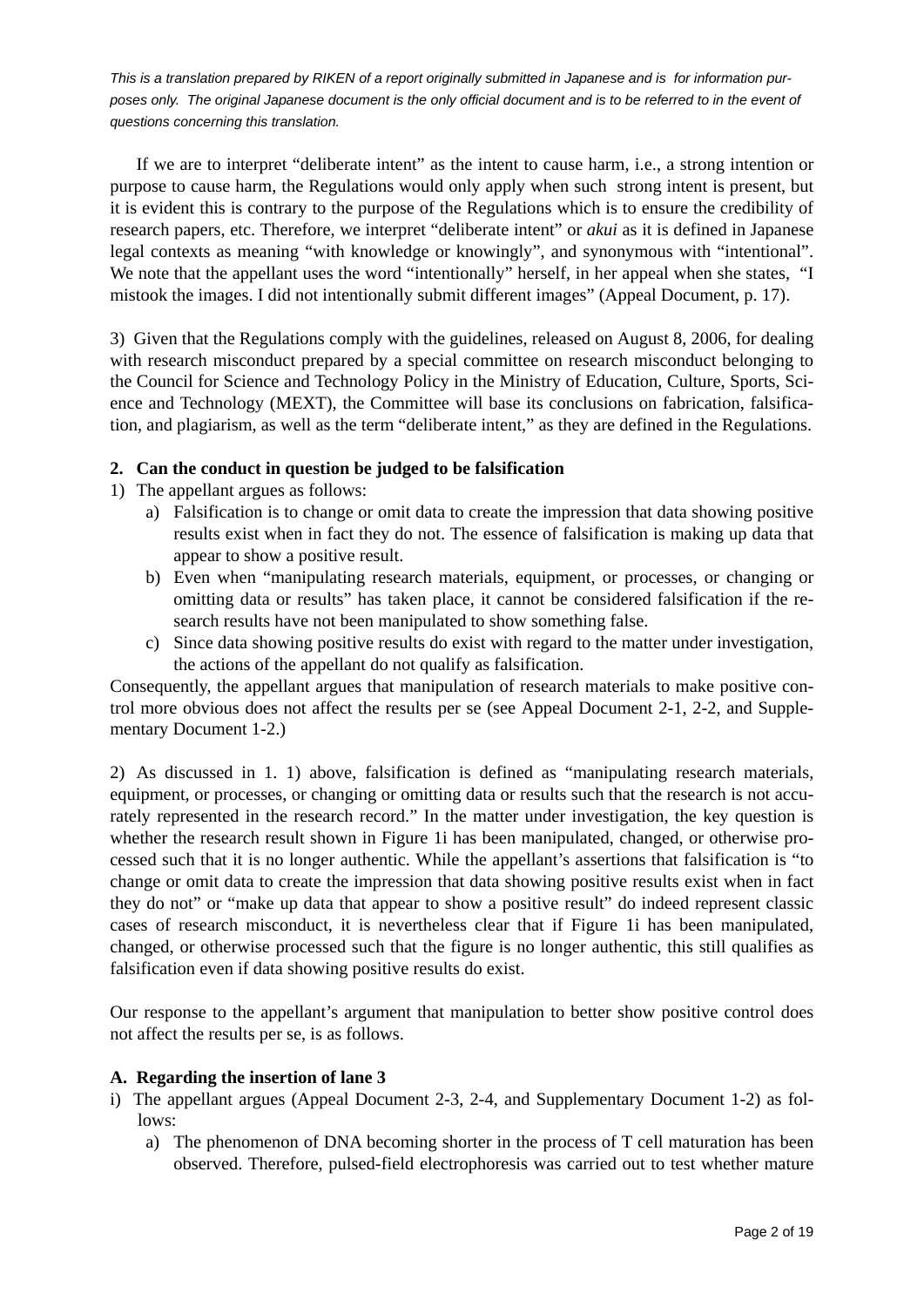If we are to interpret "deliberate intent" as the intent to cause harm, i.e., a strong intention or purpose to cause harm, the Regulations would only apply when such strong intent is present, but it is evident this is contrary to the purpose of the Regulations which is to ensure the credibility of research papers, etc. Therefore, we interpret "deliberate intent" or *akui* as it is defined in Japanese legal contexts as meaning "with knowledge or knowingly", and synonymous with "intentional". We note that the appellant uses the word "intentionally" herself, in her appeal when she states, "I mistook the images. I did not intentionally submit different images" (Appeal Document, p. 17).

3) Given that the Regulations comply with the guidelines, released on August 8, 2006, for dealing with research misconduct prepared by a special committee on research misconduct belonging to the Council for Science and Technology Policy in the Ministry of Education, Culture, Sports, Science and Technology (MEXT), the Committee will base its conclusions on fabrication, falsification, and plagiarism, as well as the term "deliberate intent," as they are defined in the Regulations.

### **2. Can the conduct in question be judged to be falsification**

- 1) The appellant argues as follows:
	- a) Falsification is to change or omit data to create the impression that data showing positive results exist when in fact they do not. The essence of falsification is making up data that appear to show a positive result.
	- b) Even when "manipulating research materials, equipment, or processes, or changing or omitting data or results" has taken place, it cannot be considered falsification if the research results have not been manipulated to show something false.
	- c) Since data showing positive results do exist with regard to the matter under investigation, the actions of the appellant do not qualify as falsification.

Consequently, the appellant argues that manipulation of research materials to make positive control more obvious does not affect the results per se (see Appeal Document 2-1, 2-2, and Supplementary Document 1-2.)

2) As discussed in 1. 1) above, falsification is defined as "manipulating research materials, equipment, or processes, or changing or omitting data or results such that the research is not accurately represented in the research record." In the matter under investigation, the key question is whether the research result shown in Figure 1i has been manipulated, changed, or otherwise processed such that it is no longer authentic. While the appellant's assertions that falsification is "to change or omit data to create the impression that data showing positive results exist when in fact they do not" or "make up data that appear to show a positive result" do indeed represent classic cases of research misconduct, it is nevertheless clear that if Figure 1i has been manipulated, changed, or otherwise processed such that the figure is no longer authentic, this still qualifies as falsification even if data showing positive results do exist.

Our response to the appellant's argument that manipulation to better show positive control does not affect the results per se, is as follows.

### **A. Regarding the insertion of lane 3**

- i) The appellant argues (Appeal Document 2-3, 2-4, and Supplementary Document 1-2) as follows:
	- a) The phenomenon of DNA becoming shorter in the process of T cell maturation has been observed. Therefore, pulsed-field electrophoresis was carried out to test whether mature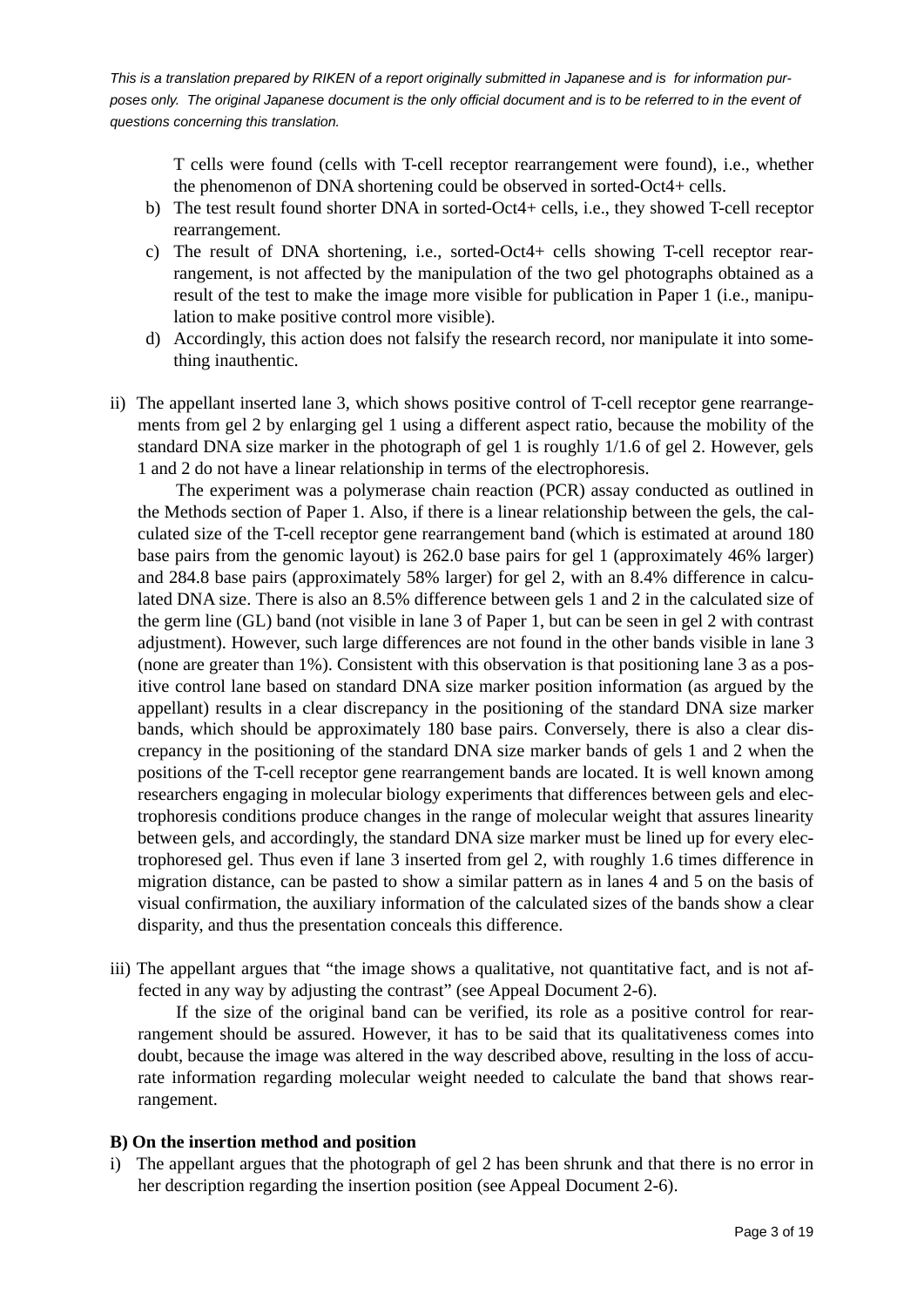T cells were found (cells with T-cell receptor rearrangement were found), i.e., whether the phenomenon of DNA shortening could be observed in sorted-Oct4+ cells.

- b) The test result found shorter DNA in sorted-Oct4+ cells, i.e., they showed T-cell receptor rearrangement.
- c) The result of DNA shortening, i.e., sorted-Oct4+ cells showing T-cell receptor rearrangement, is not affected by the manipulation of the two gel photographs obtained as a result of the test to make the image more visible for publication in Paper 1 (i.e., manipulation to make positive control more visible).
- d) Accordingly, this action does not falsify the research record, nor manipulate it into something inauthentic.
- ii) The appellant inserted lane 3, which shows positive control of T-cell receptor gene rearrangements from gel 2 by enlarging gel 1 using a different aspect ratio, because the mobility of the standard DNA size marker in the photograph of gel 1 is roughly 1/1.6 of gel 2. However, gels 1 and 2 do not have a linear relationship in terms of the electrophoresis.

 The experiment was a polymerase chain reaction (PCR) assay conducted as outlined in the Methods section of Paper 1. Also, if there is a linear relationship between the gels, the calculated size of the T-cell receptor gene rearrangement band (which is estimated at around 180 base pairs from the genomic layout) is 262.0 base pairs for gel 1 (approximately 46% larger) and 284.8 base pairs (approximately 58% larger) for gel 2, with an 8.4% difference in calculated DNA size. There is also an 8.5% difference between gels 1 and 2 in the calculated size of the germ line (GL) band (not visible in lane 3 of Paper 1, but can be seen in gel 2 with contrast adjustment). However, such large differences are not found in the other bands visible in lane 3 (none are greater than 1%). Consistent with this observation is that positioning lane 3 as a positive control lane based on standard DNA size marker position information (as argued by the appellant) results in a clear discrepancy in the positioning of the standard DNA size marker bands, which should be approximately 180 base pairs. Conversely, there is also a clear discrepancy in the positioning of the standard DNA size marker bands of gels 1 and 2 when the positions of the T-cell receptor gene rearrangement bands are located. It is well known among researchers engaging in molecular biology experiments that differences between gels and electrophoresis conditions produce changes in the range of molecular weight that assures linearity between gels, and accordingly, the standard DNA size marker must be lined up for every electrophoresed gel. Thus even if lane 3 inserted from gel 2, with roughly 1.6 times difference in migration distance, can be pasted to show a similar pattern as in lanes 4 and 5 on the basis of visual confirmation, the auxiliary information of the calculated sizes of the bands show a clear disparity, and thus the presentation conceals this difference.

iii) The appellant argues that "the image shows a qualitative, not quantitative fact, and is not affected in any way by adjusting the contrast" (see Appeal Document 2-6).

 If the size of the original band can be verified, its role as a positive control for rearrangement should be assured. However, it has to be said that its qualitativeness comes into doubt, because the image was altered in the way described above, resulting in the loss of accurate information regarding molecular weight needed to calculate the band that shows rearrangement.

#### **B) On the insertion method and position**

i) The appellant argues that the photograph of gel 2 has been shrunk and that there is no error in her description regarding the insertion position (see Appeal Document 2-6).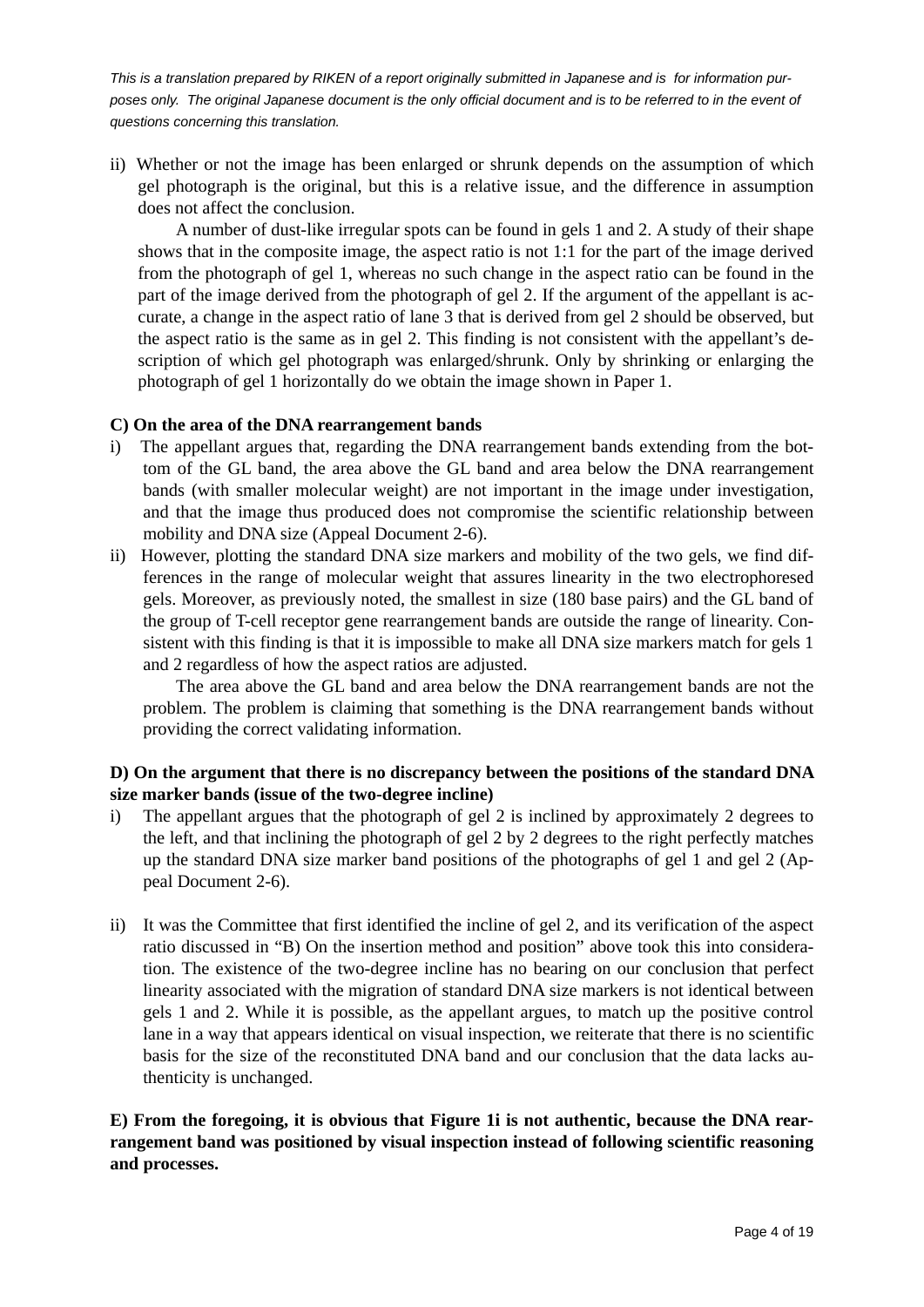ii) Whether or not the image has been enlarged or shrunk depends on the assumption of which gel photograph is the original, but this is a relative issue, and the difference in assumption does not affect the conclusion.

 A number of dust-like irregular spots can be found in gels 1 and 2. A study of their shape shows that in the composite image, the aspect ratio is not 1:1 for the part of the image derived from the photograph of gel 1, whereas no such change in the aspect ratio can be found in the part of the image derived from the photograph of gel 2. If the argument of the appellant is accurate, a change in the aspect ratio of lane 3 that is derived from gel 2 should be observed, but the aspect ratio is the same as in gel 2. This finding is not consistent with the appellant's description of which gel photograph was enlarged/shrunk. Only by shrinking or enlarging the photograph of gel 1 horizontally do we obtain the image shown in Paper 1.

### **C) On the area of the DNA rearrangement bands**

- i) The appellant argues that, regarding the DNA rearrangement bands extending from the bottom of the GL band, the area above the GL band and area below the DNA rearrangement bands (with smaller molecular weight) are not important in the image under investigation, and that the image thus produced does not compromise the scientific relationship between mobility and DNA size (Appeal Document 2-6).
- ii) However, plotting the standard DNA size markers and mobility of the two gels, we find differences in the range of molecular weight that assures linearity in the two electrophoresed gels. Moreover, as previously noted, the smallest in size (180 base pairs) and the GL band of the group of T-cell receptor gene rearrangement bands are outside the range of linearity. Consistent with this finding is that it is impossible to make all DNA size markers match for gels 1 and 2 regardless of how the aspect ratios are adjusted.

 The area above the GL band and area below the DNA rearrangement bands are not the problem. The problem is claiming that something is the DNA rearrangement bands without providing the correct validating information.

# **D) On the argument that there is no discrepancy between the positions of the standard DNA size marker bands (issue of the two-degree incline)**

- i) The appellant argues that the photograph of gel 2 is inclined by approximately 2 degrees to the left, and that inclining the photograph of gel 2 by 2 degrees to the right perfectly matches up the standard DNA size marker band positions of the photographs of gel 1 and gel 2 (Appeal Document 2-6).
- ii) It was the Committee that first identified the incline of gel 2, and its verification of the aspect ratio discussed in "B) On the insertion method and position" above took this into consideration. The existence of the two-degree incline has no bearing on our conclusion that perfect linearity associated with the migration of standard DNA size markers is not identical between gels 1 and 2. While it is possible, as the appellant argues, to match up the positive control lane in a way that appears identical on visual inspection, we reiterate that there is no scientific basis for the size of the reconstituted DNA band and our conclusion that the data lacks authenticity is unchanged.

## **E) From the foregoing, it is obvious that Figure 1i is not authentic, because the DNA rearrangement band was positioned by visual inspection instead of following scientific reasoning and processes.**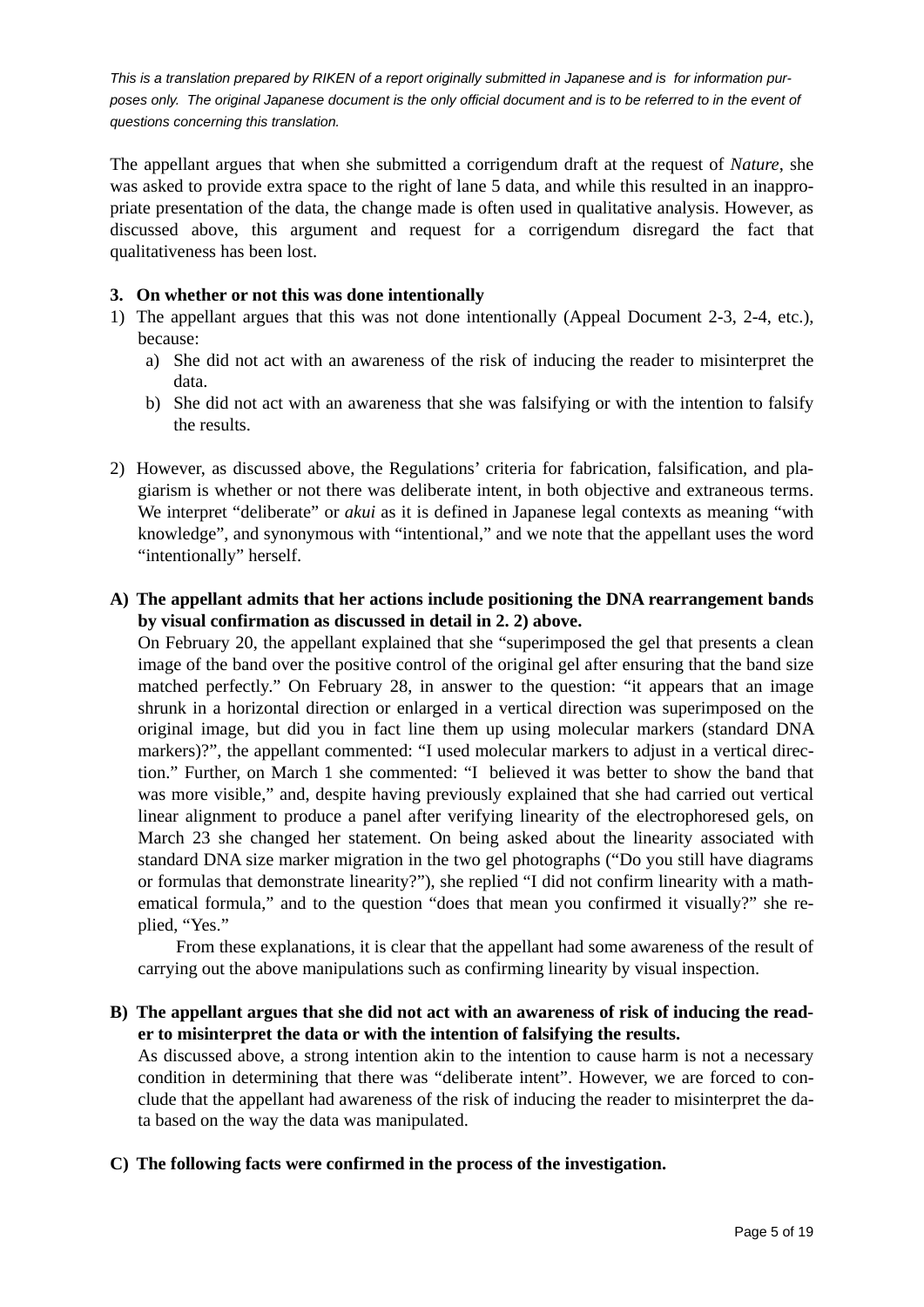The appellant argues that when she submitted a corrigendum draft at the request of *Nature*, she was asked to provide extra space to the right of lane 5 data, and while this resulted in an inappropriate presentation of the data, the change made is often used in qualitative analysis. However, as discussed above, this argument and request for a corrigendum disregard the fact that qualitativeness has been lost.

### **3. On whether or not this was done intentionally**

- 1) The appellant argues that this was not done intentionally (Appeal Document 2-3, 2-4, etc.), because:
	- a) She did not act with an awareness of the risk of inducing the reader to misinterpret the data.
	- b) She did not act with an awareness that she was falsifying or with the intention to falsify the results.
- 2) However, as discussed above, the Regulations' criteria for fabrication, falsification, and plagiarism is whether or not there was deliberate intent, in both objective and extraneous terms. We interpret "deliberate" or *akui* as it is defined in Japanese legal contexts as meaning "with knowledge", and synonymous with "intentional," and we note that the appellant uses the word "intentionally" herself.
- **A) The appellant admits that her actions include positioning the DNA rearrangement bands by visual confirmation as discussed in detail in 2. 2) above.**

On February 20, the appellant explained that she "superimposed the gel that presents a clean image of the band over the positive control of the original gel after ensuring that the band size matched perfectly." On February 28, in answer to the question: "it appears that an image shrunk in a horizontal direction or enlarged in a vertical direction was superimposed on the original image, but did you in fact line them up using molecular markers (standard DNA markers)?", the appellant commented: "I used molecular markers to adjust in a vertical direction." Further, on March 1 she commented: "I believed it was better to show the band that was more visible," and, despite having previously explained that she had carried out vertical linear alignment to produce a panel after verifying linearity of the electrophoresed gels, on March 23 she changed her statement. On being asked about the linearity associated with standard DNA size marker migration in the two gel photographs ("Do you still have diagrams or formulas that demonstrate linearity?"), she replied "I did not confirm linearity with a mathematical formula," and to the question "does that mean you confirmed it visually?" she replied, "Yes."

 From these explanations, it is clear that the appellant had some awareness of the result of carrying out the above manipulations such as confirming linearity by visual inspection.

**B) The appellant argues that she did not act with an awareness of risk of inducing the reader to misinterpret the data or with the intention of falsifying the results.** 

As discussed above, a strong intention akin to the intention to cause harm is not a necessary condition in determining that there was "deliberate intent". However, we are forced to conclude that the appellant had awareness of the risk of inducing the reader to misinterpret the data based on the way the data was manipulated.

**C) The following facts were confirmed in the process of the investigation.**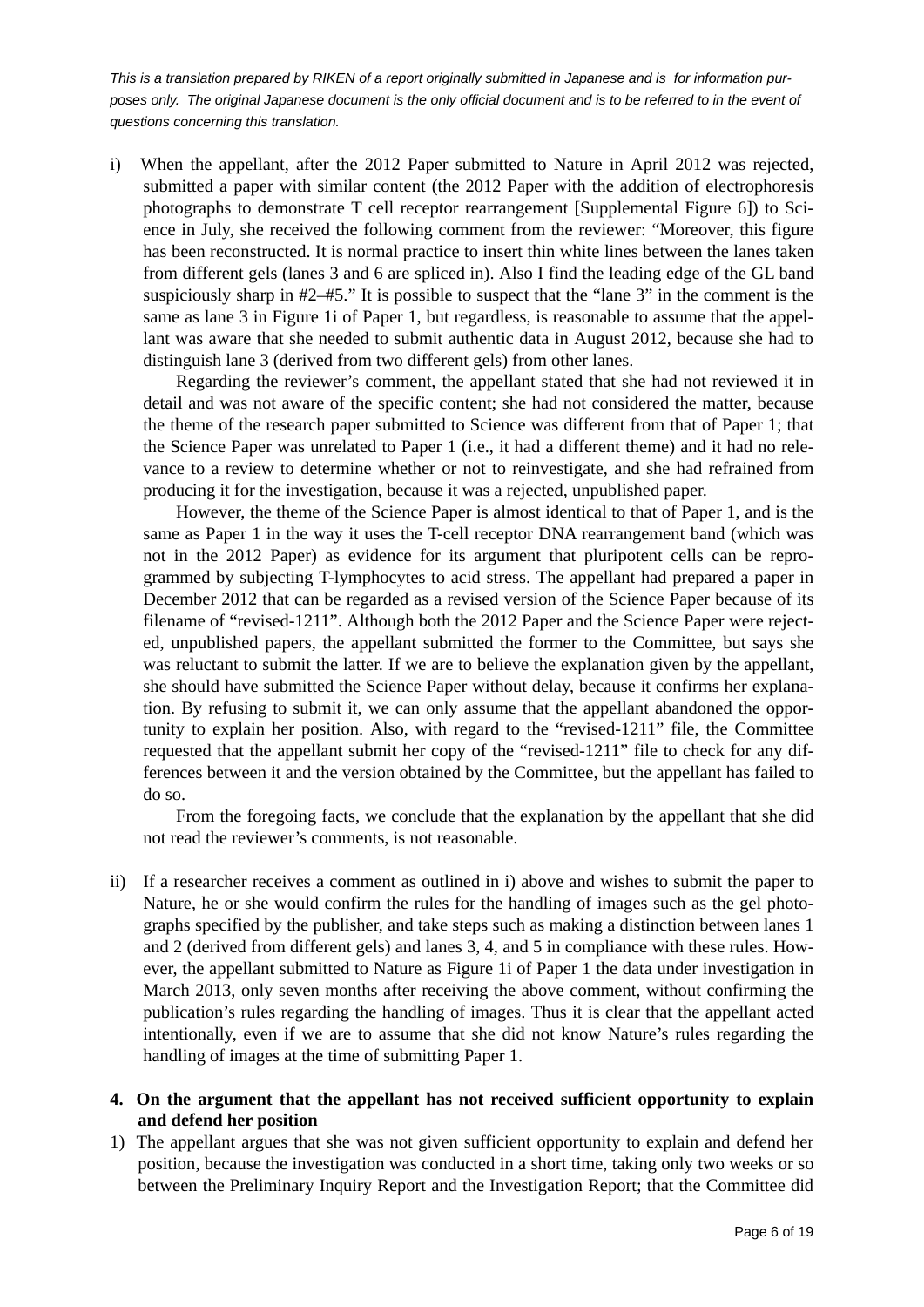i) When the appellant, after the 2012 Paper submitted to Nature in April 2012 was rejected, submitted a paper with similar content (the 2012 Paper with the addition of electrophoresis photographs to demonstrate T cell receptor rearrangement [Supplemental Figure 6]) to Science in July, she received the following comment from the reviewer: "Moreover, this figure has been reconstructed. It is normal practice to insert thin white lines between the lanes taken from different gels (lanes 3 and 6 are spliced in). Also I find the leading edge of the GL band suspiciously sharp in #2–#5." It is possible to suspect that the "lane 3" in the comment is the same as lane 3 in Figure 1i of Paper 1, but regardless, is reasonable to assume that the appellant was aware that she needed to submit authentic data in August 2012, because she had to distinguish lane 3 (derived from two different gels) from other lanes.

 Regarding the reviewer's comment, the appellant stated that she had not reviewed it in detail and was not aware of the specific content; she had not considered the matter, because the theme of the research paper submitted to Science was different from that of Paper 1; that the Science Paper was unrelated to Paper 1 (i.e., it had a different theme) and it had no relevance to a review to determine whether or not to reinvestigate, and she had refrained from producing it for the investigation, because it was a rejected, unpublished paper.

 However, the theme of the Science Paper is almost identical to that of Paper 1, and is the same as Paper 1 in the way it uses the T-cell receptor DNA rearrangement band (which was not in the 2012 Paper) as evidence for its argument that pluripotent cells can be reprogrammed by subjecting T-lymphocytes to acid stress. The appellant had prepared a paper in December 2012 that can be regarded as a revised version of the Science Paper because of its filename of "revised-1211". Although both the 2012 Paper and the Science Paper were rejected, unpublished papers, the appellant submitted the former to the Committee, but says she was reluctant to submit the latter. If we are to believe the explanation given by the appellant, she should have submitted the Science Paper without delay, because it confirms her explanation. By refusing to submit it, we can only assume that the appellant abandoned the opportunity to explain her position. Also, with regard to the "revised-1211" file, the Committee requested that the appellant submit her copy of the "revised-1211" file to check for any differences between it and the version obtained by the Committee, but the appellant has failed to do so.

 From the foregoing facts, we conclude that the explanation by the appellant that she did not read the reviewer's comments, is not reasonable.

ii) If a researcher receives a comment as outlined in i) above and wishes to submit the paper to Nature, he or she would confirm the rules for the handling of images such as the gel photographs specified by the publisher, and take steps such as making a distinction between lanes 1 and 2 (derived from different gels) and lanes 3, 4, and 5 in compliance with these rules. However, the appellant submitted to Nature as Figure 1i of Paper 1 the data under investigation in March 2013, only seven months after receiving the above comment, without confirming the publication's rules regarding the handling of images. Thus it is clear that the appellant acted intentionally, even if we are to assume that she did not know Nature's rules regarding the handling of images at the time of submitting Paper 1.

### **4. On the argument that the appellant has not received sufficient opportunity to explain and defend her position**

1) The appellant argues that she was not given sufficient opportunity to explain and defend her position, because the investigation was conducted in a short time, taking only two weeks or so between the Preliminary Inquiry Report and the Investigation Report; that the Committee did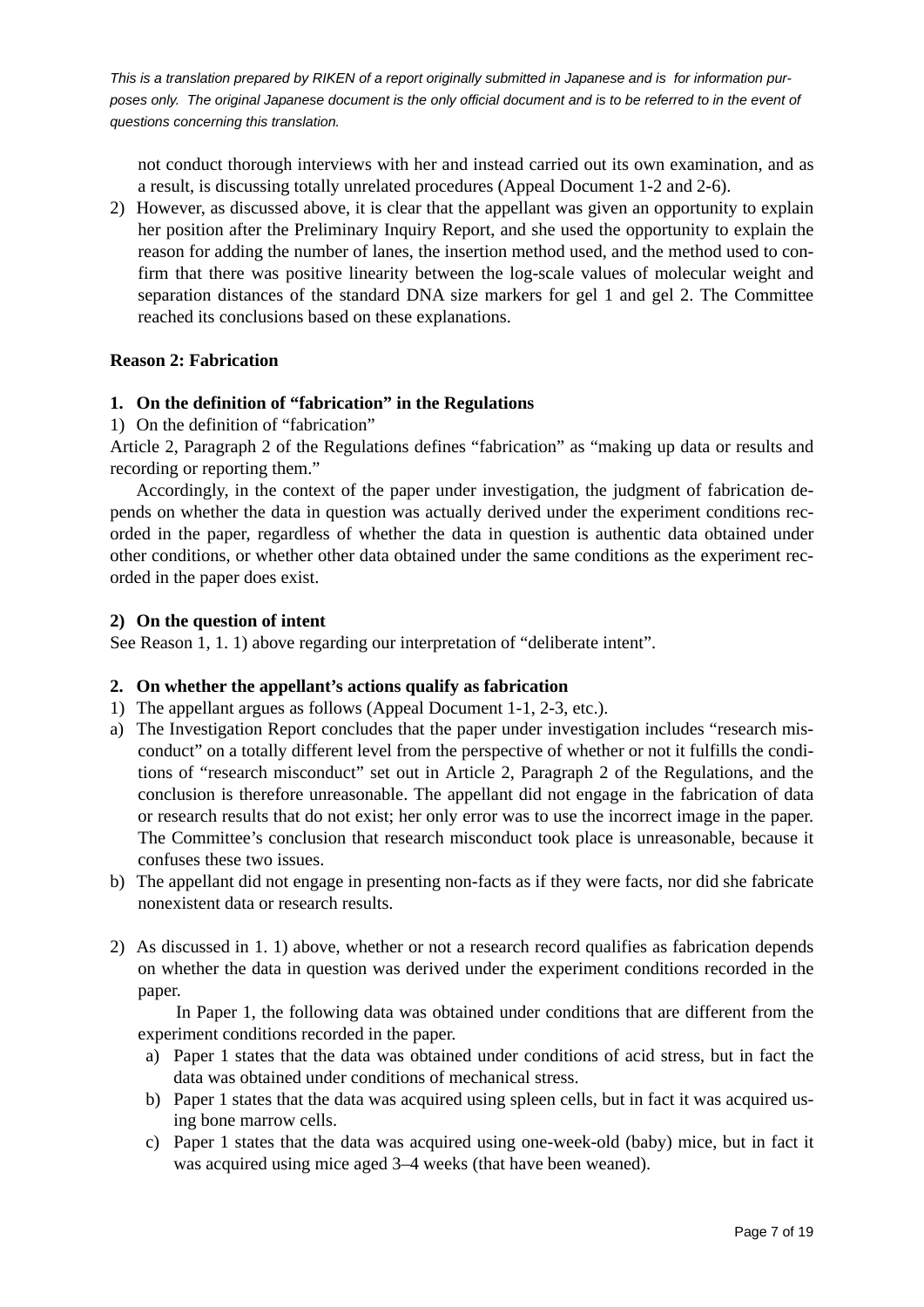not conduct thorough interviews with her and instead carried out its own examination, and as a result, is discussing totally unrelated procedures (Appeal Document 1-2 and 2-6).

2) However, as discussed above, it is clear that the appellant was given an opportunity to explain her position after the Preliminary Inquiry Report, and she used the opportunity to explain the reason for adding the number of lanes, the insertion method used, and the method used to confirm that there was positive linearity between the log-scale values of molecular weight and separation distances of the standard DNA size markers for gel 1 and gel 2. The Committee reached its conclusions based on these explanations.

### **Reason 2: Fabrication**

### **1. On the definition of "fabrication" in the Regulations**

1) On the definition of "fabrication"

Article 2, Paragraph 2 of the Regulations defines "fabrication" as "making up data or results and recording or reporting them."

 Accordingly, in the context of the paper under investigation, the judgment of fabrication depends on whether the data in question was actually derived under the experiment conditions recorded in the paper, regardless of whether the data in question is authentic data obtained under other conditions, or whether other data obtained under the same conditions as the experiment recorded in the paper does exist.

#### **2) On the question of intent**

See Reason 1, 1. 1) above regarding our interpretation of "deliberate intent".

#### **2. On whether the appellant's actions qualify as fabrication**

- 1) The appellant argues as follows (Appeal Document 1-1, 2-3, etc.).
- a) The Investigation Report concludes that the paper under investigation includes "research misconduct" on a totally different level from the perspective of whether or not it fulfills the conditions of "research misconduct" set out in Article 2, Paragraph 2 of the Regulations, and the conclusion is therefore unreasonable. The appellant did not engage in the fabrication of data or research results that do not exist; her only error was to use the incorrect image in the paper. The Committee's conclusion that research misconduct took place is unreasonable, because it confuses these two issues.
- b) The appellant did not engage in presenting non-facts as if they were facts, nor did she fabricate nonexistent data or research results.
- 2) As discussed in 1. 1) above, whether or not a research record qualifies as fabrication depends on whether the data in question was derived under the experiment conditions recorded in the paper.

 In Paper 1, the following data was obtained under conditions that are different from the experiment conditions recorded in the paper.

- a) Paper 1 states that the data was obtained under conditions of acid stress, but in fact the data was obtained under conditions of mechanical stress.
- b) Paper 1 states that the data was acquired using spleen cells, but in fact it was acquired using bone marrow cells.
- c) Paper 1 states that the data was acquired using one-week-old (baby) mice, but in fact it was acquired using mice aged 3–4 weeks (that have been weaned).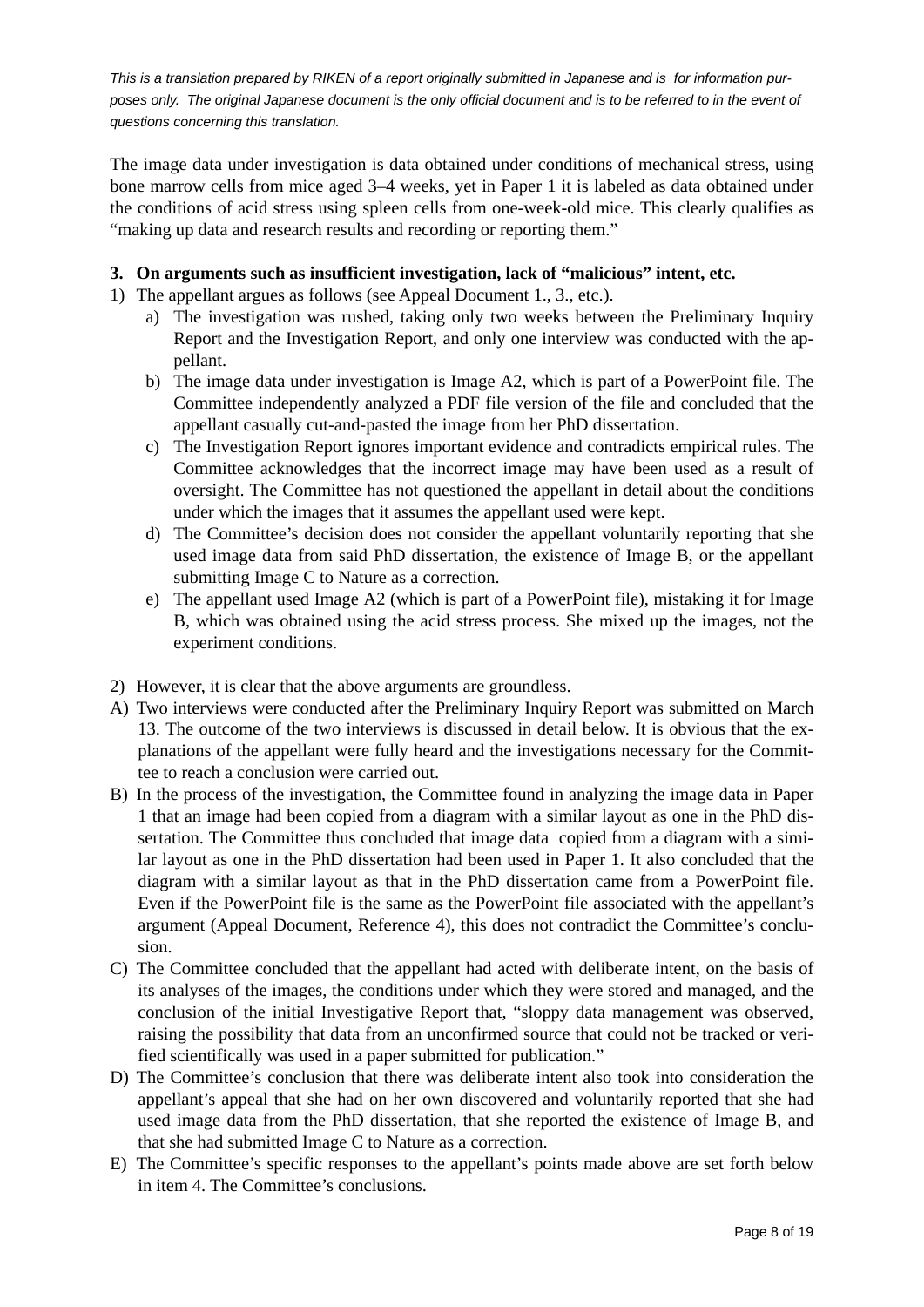The image data under investigation is data obtained under conditions of mechanical stress, using bone marrow cells from mice aged 3–4 weeks, yet in Paper 1 it is labeled as data obtained under the conditions of acid stress using spleen cells from one-week-old mice. This clearly qualifies as "making up data and research results and recording or reporting them."

### **3. On arguments such as insufficient investigation, lack of "malicious" intent, etc.**

- 1) The appellant argues as follows (see Appeal Document 1., 3., etc.).
	- a) The investigation was rushed, taking only two weeks between the Preliminary Inquiry Report and the Investigation Report, and only one interview was conducted with the appellant.
	- b) The image data under investigation is Image A2, which is part of a PowerPoint file. The Committee independently analyzed a PDF file version of the file and concluded that the appellant casually cut-and-pasted the image from her PhD dissertation.
	- c) The Investigation Report ignores important evidence and contradicts empirical rules. The Committee acknowledges that the incorrect image may have been used as a result of oversight. The Committee has not questioned the appellant in detail about the conditions under which the images that it assumes the appellant used were kept.
	- d) The Committee's decision does not consider the appellant voluntarily reporting that she used image data from said PhD dissertation, the existence of Image B, or the appellant submitting Image C to Nature as a correction.
	- e) The appellant used Image A2 (which is part of a PowerPoint file), mistaking it for Image B, which was obtained using the acid stress process. She mixed up the images, not the experiment conditions.
- 2) However, it is clear that the above arguments are groundless.
- A) Two interviews were conducted after the Preliminary Inquiry Report was submitted on March 13. The outcome of the two interviews is discussed in detail below. It is obvious that the explanations of the appellant were fully heard and the investigations necessary for the Committee to reach a conclusion were carried out.
- B) In the process of the investigation, the Committee found in analyzing the image data in Paper 1 that an image had been copied from a diagram with a similar layout as one in the PhD dissertation. The Committee thus concluded that image data copied from a diagram with a similar layout as one in the PhD dissertation had been used in Paper 1. It also concluded that the diagram with a similar layout as that in the PhD dissertation came from a PowerPoint file. Even if the PowerPoint file is the same as the PowerPoint file associated with the appellant's argument (Appeal Document, Reference 4), this does not contradict the Committee's conclusion.
- C) The Committee concluded that the appellant had acted with deliberate intent, on the basis of its analyses of the images, the conditions under which they were stored and managed, and the conclusion of the initial Investigative Report that, "sloppy data management was observed, raising the possibility that data from an unconfirmed source that could not be tracked or verified scientifically was used in a paper submitted for publication."
- D) The Committee's conclusion that there was deliberate intent also took into consideration the appellant's appeal that she had on her own discovered and voluntarily reported that she had used image data from the PhD dissertation, that she reported the existence of Image B, and that she had submitted Image C to Nature as a correction.
- E) The Committee's specific responses to the appellant's points made above are set forth below in item 4. The Committee's conclusions.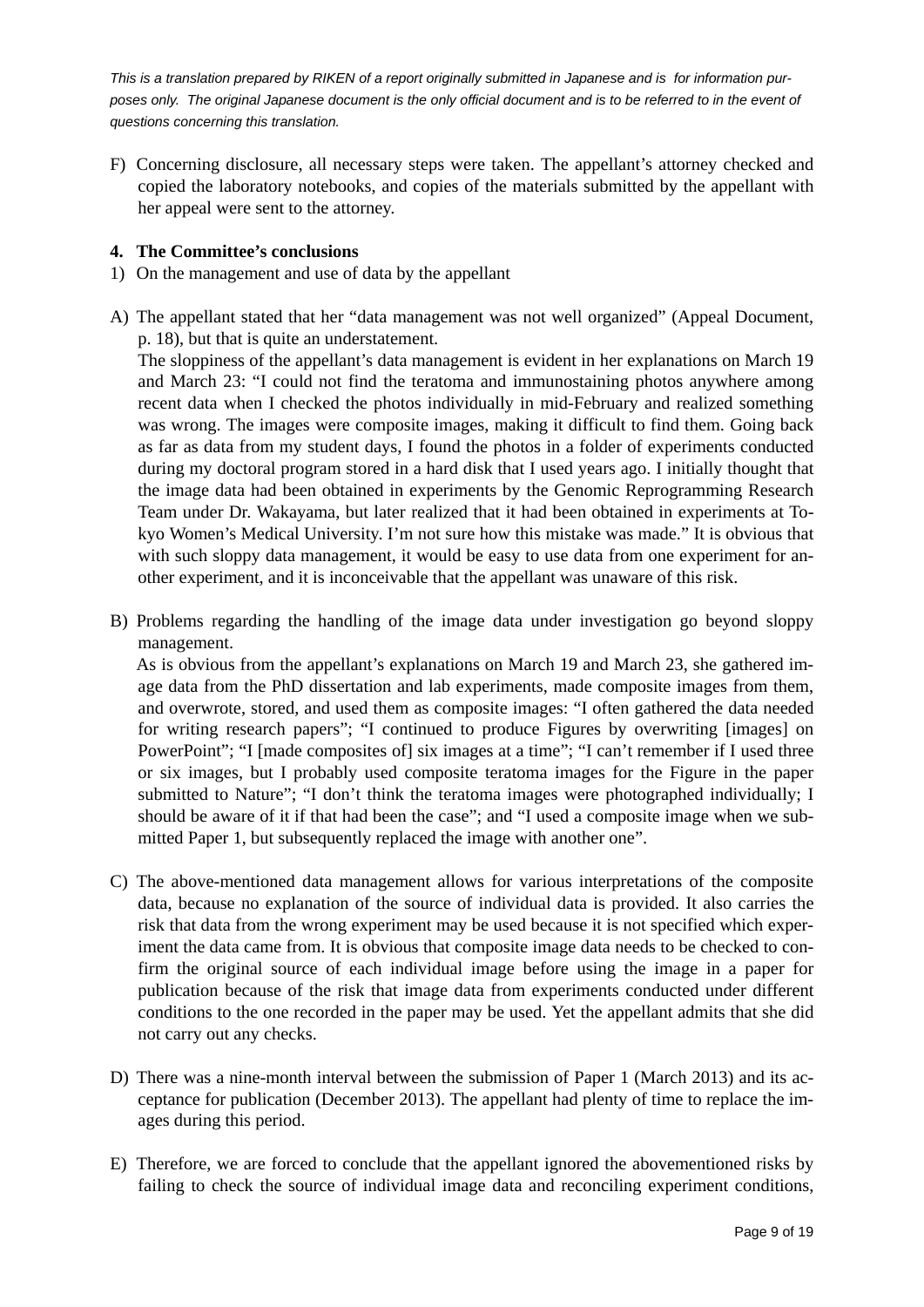F) Concerning disclosure, all necessary steps were taken. The appellant's attorney checked and copied the laboratory notebooks, and copies of the materials submitted by the appellant with her appeal were sent to the attorney.

#### **4. The Committee's conclusions**

- 1) On the management and use of data by the appellant
- A) The appellant stated that her "data management was not well organized" (Appeal Document, p. 18), but that is quite an understatement.

The sloppiness of the appellant's data management is evident in her explanations on March 19 and March 23: "I could not find the teratoma and immunostaining photos anywhere among recent data when I checked the photos individually in mid-February and realized something was wrong. The images were composite images, making it difficult to find them. Going back as far as data from my student days, I found the photos in a folder of experiments conducted during my doctoral program stored in a hard disk that I used years ago. I initially thought that the image data had been obtained in experiments by the Genomic Reprogramming Research Team under Dr. Wakayama, but later realized that it had been obtained in experiments at Tokyo Women's Medical University. I'm not sure how this mistake was made." It is obvious that with such sloppy data management, it would be easy to use data from one experiment for another experiment, and it is inconceivable that the appellant was unaware of this risk.

B) Problems regarding the handling of the image data under investigation go beyond sloppy management.

 As is obvious from the appellant's explanations on March 19 and March 23, she gathered image data from the PhD dissertation and lab experiments, made composite images from them, and overwrote, stored, and used them as composite images: "I often gathered the data needed for writing research papers"; "I continued to produce Figures by overwriting [images] on PowerPoint"; "I [made composites of] six images at a time"; "I can't remember if I used three or six images, but I probably used composite teratoma images for the Figure in the paper submitted to Nature"; "I don't think the teratoma images were photographed individually; I should be aware of it if that had been the case"; and "I used a composite image when we submitted Paper 1, but subsequently replaced the image with another one".

- C) The above-mentioned data management allows for various interpretations of the composite data, because no explanation of the source of individual data is provided. It also carries the risk that data from the wrong experiment may be used because it is not specified which experiment the data came from. It is obvious that composite image data needs to be checked to confirm the original source of each individual image before using the image in a paper for publication because of the risk that image data from experiments conducted under different conditions to the one recorded in the paper may be used. Yet the appellant admits that she did not carry out any checks.
- D) There was a nine-month interval between the submission of Paper 1 (March 2013) and its acceptance for publication (December 2013). The appellant had plenty of time to replace the images during this period.
- E) Therefore, we are forced to conclude that the appellant ignored the abovementioned risks by failing to check the source of individual image data and reconciling experiment conditions,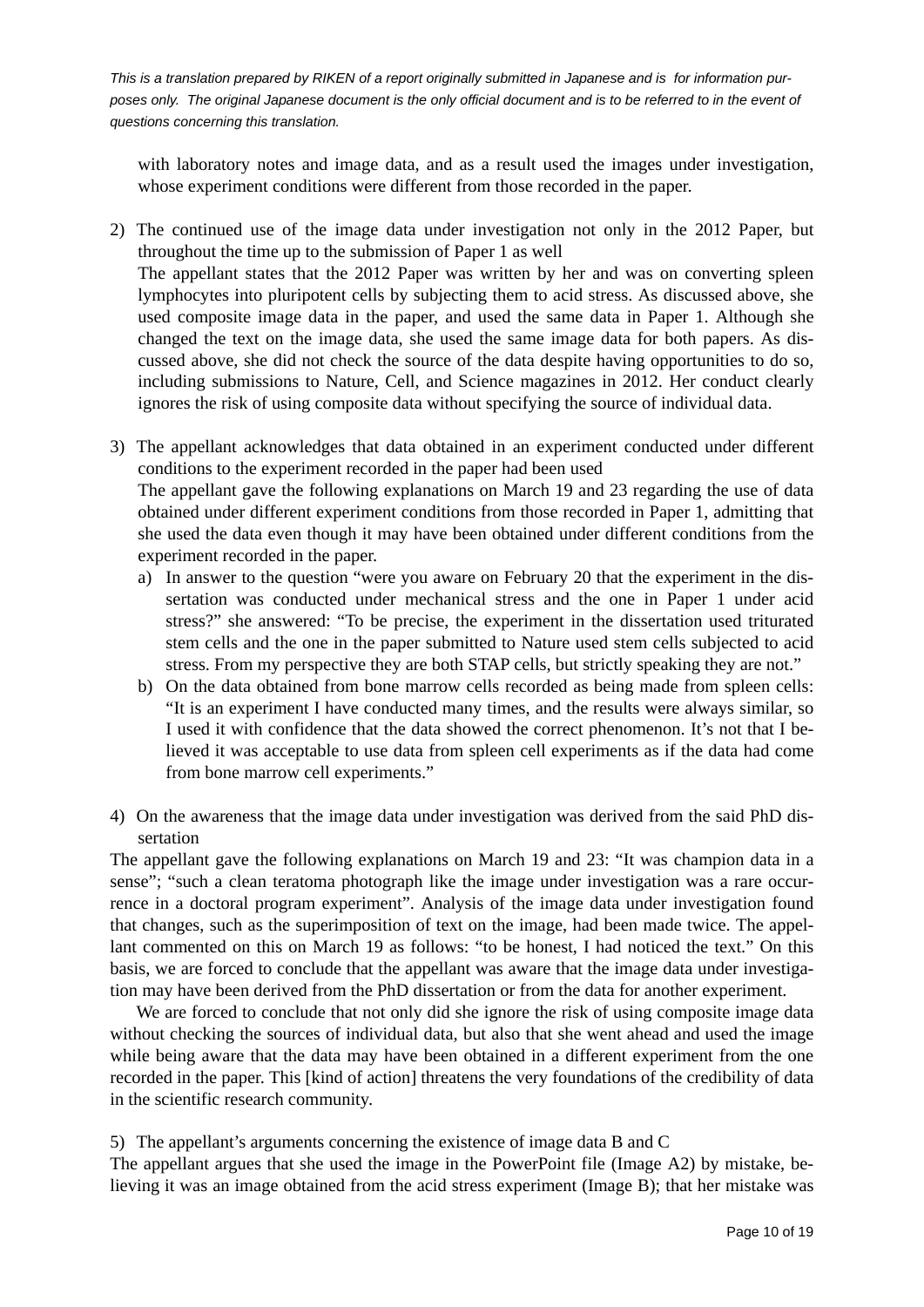with laboratory notes and image data, and as a result used the images under investigation, whose experiment conditions were different from those recorded in the paper.

2) The continued use of the image data under investigation not only in the 2012 Paper, but throughout the time up to the submission of Paper 1 as well The appellant states that the 2012 Paper was written by her and was on converting spleen lymphocytes into pluripotent cells by subjecting them to acid stress. As discussed above, she used composite image data in the paper, and used the same data in Paper 1. Although she changed the text on the image data, she used the same image data for both papers. As discussed above, she did not check the source of the data despite having opportunities to do so, including submissions to Nature, Cell, and Science magazines in 2012. Her conduct clearly ignores the risk of using composite data without specifying the source of individual data.

3) The appellant acknowledges that data obtained in an experiment conducted under different conditions to the experiment recorded in the paper had been used The appellant gave the following explanations on March 19 and 23 regarding the use of data obtained under different experiment conditions from those recorded in Paper 1, admitting that she used the data even though it may have been obtained under different conditions from the experiment recorded in the paper.

- a) In answer to the question "were you aware on February 20 that the experiment in the dissertation was conducted under mechanical stress and the one in Paper 1 under acid stress?" she answered: "To be precise, the experiment in the dissertation used triturated stem cells and the one in the paper submitted to Nature used stem cells subjected to acid stress. From my perspective they are both STAP cells, but strictly speaking they are not."
- b) On the data obtained from bone marrow cells recorded as being made from spleen cells: "It is an experiment I have conducted many times, and the results were always similar, so I used it with confidence that the data showed the correct phenomenon. It's not that I believed it was acceptable to use data from spleen cell experiments as if the data had come from bone marrow cell experiments."
- 4) On the awareness that the image data under investigation was derived from the said PhD dissertation

The appellant gave the following explanations on March 19 and 23: "It was champion data in a sense"; "such a clean teratoma photograph like the image under investigation was a rare occurrence in a doctoral program experiment". Analysis of the image data under investigation found that changes, such as the superimposition of text on the image, had been made twice. The appellant commented on this on March 19 as follows: "to be honest, I had noticed the text." On this basis, we are forced to conclude that the appellant was aware that the image data under investigation may have been derived from the PhD dissertation or from the data for another experiment.

We are forced to conclude that not only did she ignore the risk of using composite image data without checking the sources of individual data, but also that she went ahead and used the image while being aware that the data may have been obtained in a different experiment from the one recorded in the paper. This [kind of action] threatens the very foundations of the credibility of data in the scientific research community.

5) The appellant's arguments concerning the existence of image data B and C

The appellant argues that she used the image in the PowerPoint file (Image A2) by mistake, believing it was an image obtained from the acid stress experiment (Image B); that her mistake was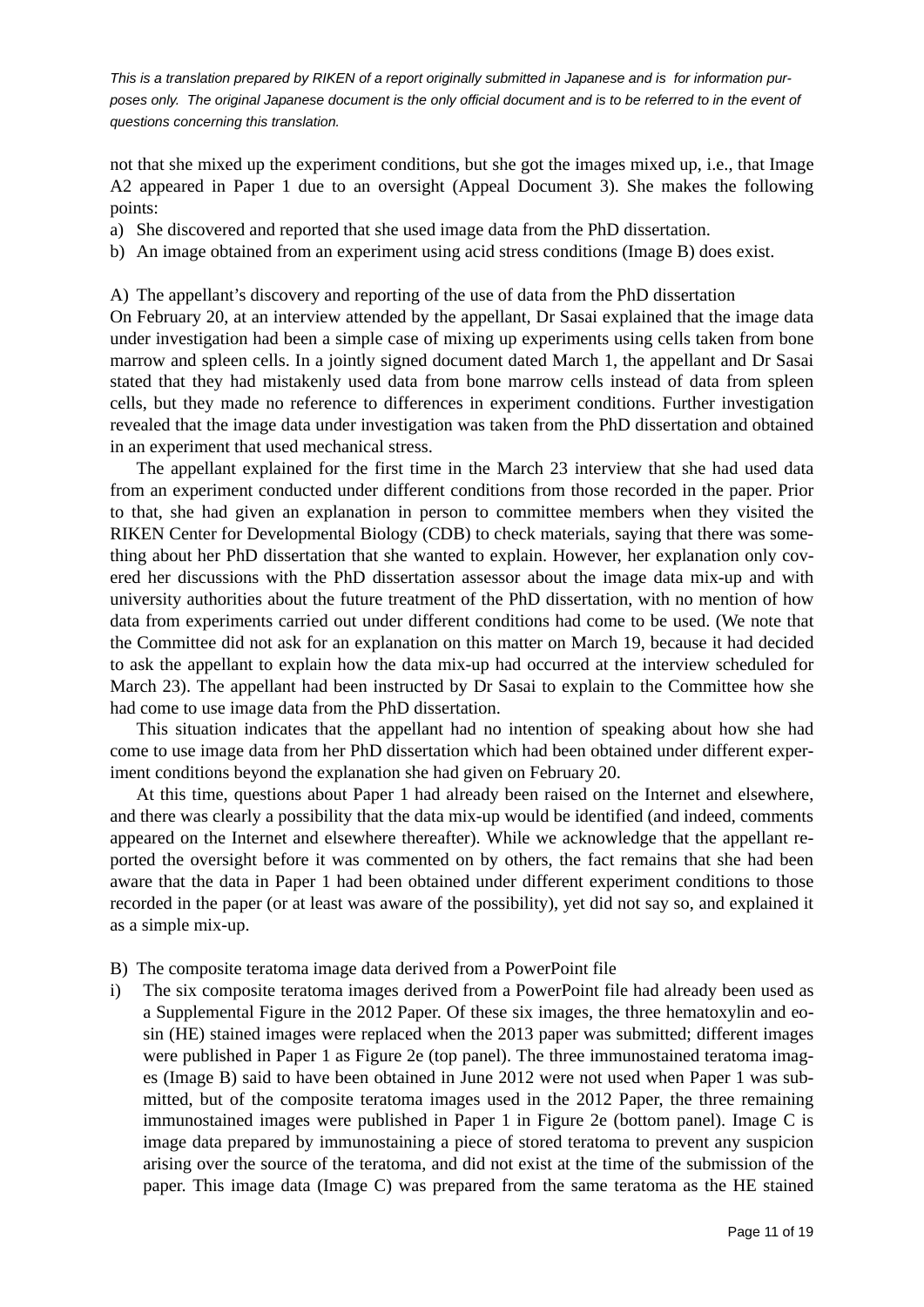not that she mixed up the experiment conditions, but she got the images mixed up, i.e., that Image A2 appeared in Paper 1 due to an oversight (Appeal Document 3). She makes the following points:

- a) She discovered and reported that she used image data from the PhD dissertation.
- b) An image obtained from an experiment using acid stress conditions (Image B) does exist.

A) The appellant's discovery and reporting of the use of data from the PhD dissertation

On February 20, at an interview attended by the appellant, Dr Sasai explained that the image data under investigation had been a simple case of mixing up experiments using cells taken from bone marrow and spleen cells. In a jointly signed document dated March 1, the appellant and Dr Sasai stated that they had mistakenly used data from bone marrow cells instead of data from spleen cells, but they made no reference to differences in experiment conditions. Further investigation revealed that the image data under investigation was taken from the PhD dissertation and obtained in an experiment that used mechanical stress.

 The appellant explained for the first time in the March 23 interview that she had used data from an experiment conducted under different conditions from those recorded in the paper. Prior to that, she had given an explanation in person to committee members when they visited the RIKEN Center for Developmental Biology (CDB) to check materials, saying that there was something about her PhD dissertation that she wanted to explain. However, her explanation only covered her discussions with the PhD dissertation assessor about the image data mix-up and with university authorities about the future treatment of the PhD dissertation, with no mention of how data from experiments carried out under different conditions had come to be used. (We note that the Committee did not ask for an explanation on this matter on March 19, because it had decided to ask the appellant to explain how the data mix-up had occurred at the interview scheduled for March 23). The appellant had been instructed by Dr Sasai to explain to the Committee how she had come to use image data from the PhD dissertation.

 This situation indicates that the appellant had no intention of speaking about how she had come to use image data from her PhD dissertation which had been obtained under different experiment conditions beyond the explanation she had given on February 20.

 At this time, questions about Paper 1 had already been raised on the Internet and elsewhere, and there was clearly a possibility that the data mix-up would be identified (and indeed, comments appeared on the Internet and elsewhere thereafter). While we acknowledge that the appellant reported the oversight before it was commented on by others, the fact remains that she had been aware that the data in Paper 1 had been obtained under different experiment conditions to those recorded in the paper (or at least was aware of the possibility), yet did not say so, and explained it as a simple mix-up.

- B) The composite teratoma image data derived from a PowerPoint file
- i) The six composite teratoma images derived from a PowerPoint file had already been used as a Supplemental Figure in the 2012 Paper. Of these six images, the three hematoxylin and eosin (HE) stained images were replaced when the 2013 paper was submitted; different images were published in Paper 1 as Figure 2e (top panel). The three immunostained teratoma images (Image B) said to have been obtained in June 2012 were not used when Paper 1 was submitted, but of the composite teratoma images used in the 2012 Paper, the three remaining immunostained images were published in Paper 1 in Figure 2e (bottom panel). Image C is image data prepared by immunostaining a piece of stored teratoma to prevent any suspicion arising over the source of the teratoma, and did not exist at the time of the submission of the paper. This image data (Image C) was prepared from the same teratoma as the HE stained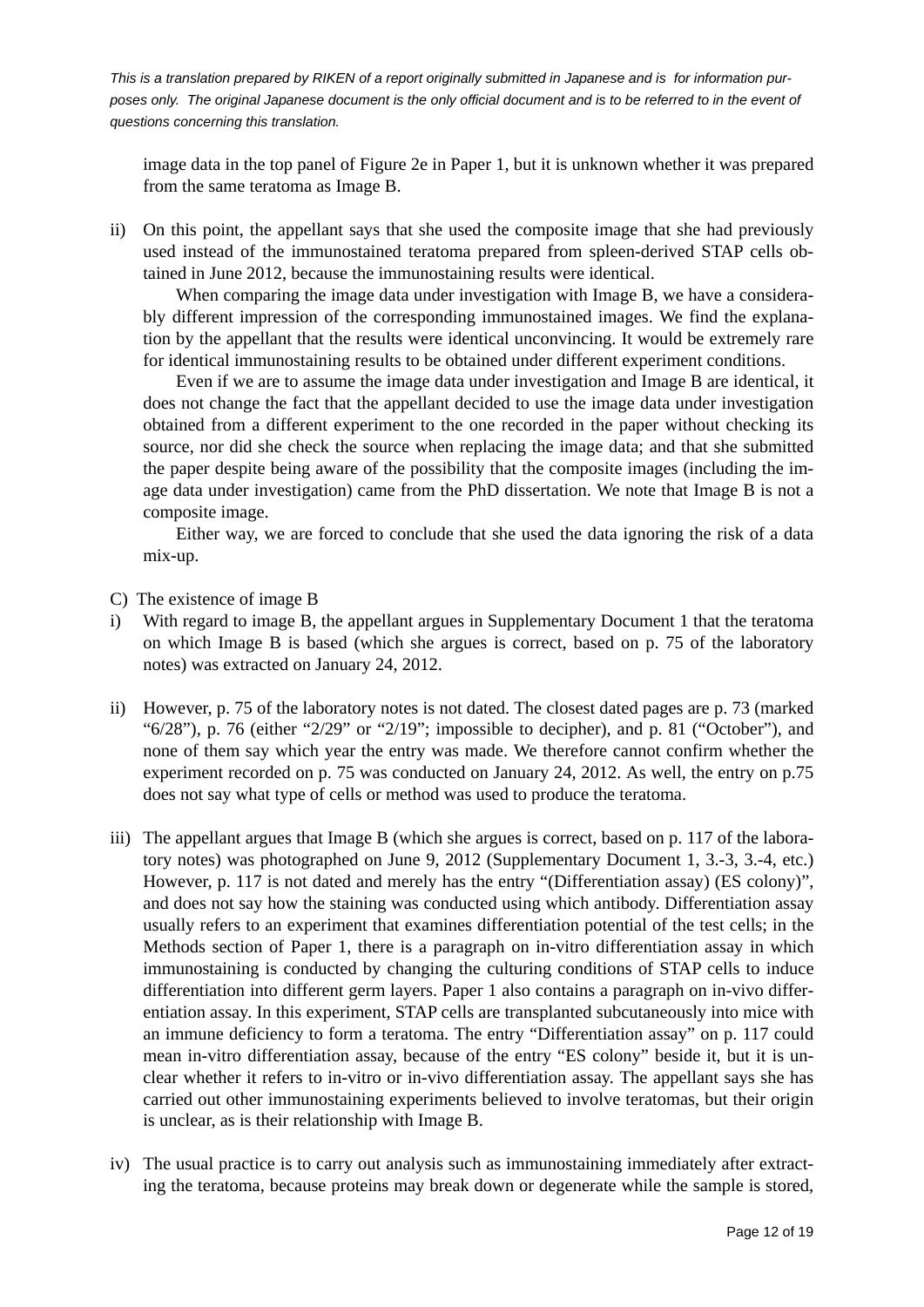image data in the top panel of Figure 2e in Paper 1, but it is unknown whether it was prepared from the same teratoma as Image B.

ii) On this point, the appellant says that she used the composite image that she had previously used instead of the immunostained teratoma prepared from spleen-derived STAP cells obtained in June 2012, because the immunostaining results were identical.

 When comparing the image data under investigation with Image B, we have a considerably different impression of the corresponding immunostained images. We find the explanation by the appellant that the results were identical unconvincing. It would be extremely rare for identical immunostaining results to be obtained under different experiment conditions.

 Even if we are to assume the image data under investigation and Image B are identical, it does not change the fact that the appellant decided to use the image data under investigation obtained from a different experiment to the one recorded in the paper without checking its source, nor did she check the source when replacing the image data; and that she submitted the paper despite being aware of the possibility that the composite images (including the image data under investigation) came from the PhD dissertation. We note that Image B is not a composite image.

 Either way, we are forced to conclude that she used the data ignoring the risk of a data mix-up.

- C) The existence of image B
- i) With regard to image B, the appellant argues in Supplementary Document 1 that the teratoma on which Image B is based (which she argues is correct, based on p. 75 of the laboratory notes) was extracted on January 24, 2012.
- ii) However, p. 75 of the laboratory notes is not dated. The closest dated pages are p. 73 (marked " $6/28$ "), p. 76 (either " $2/29$ " or " $2/19$ "; impossible to decipher), and p. 81 ("October"), and none of them say which year the entry was made. We therefore cannot confirm whether the experiment recorded on p. 75 was conducted on January 24, 2012. As well, the entry on p.75 does not say what type of cells or method was used to produce the teratoma.
- iii) The appellant argues that Image B (which she argues is correct, based on p. 117 of the laboratory notes) was photographed on June 9, 2012 (Supplementary Document 1, 3.-3, 3.-4, etc.) However, p. 117 is not dated and merely has the entry "(Differentiation assay) (ES colony)", and does not say how the staining was conducted using which antibody. Differentiation assay usually refers to an experiment that examines differentiation potential of the test cells; in the Methods section of Paper 1, there is a paragraph on in-vitro differentiation assay in which immunostaining is conducted by changing the culturing conditions of STAP cells to induce differentiation into different germ layers. Paper 1 also contains a paragraph on in-vivo differentiation assay. In this experiment, STAP cells are transplanted subcutaneously into mice with an immune deficiency to form a teratoma. The entry "Differentiation assay" on p. 117 could mean in-vitro differentiation assay, because of the entry "ES colony" beside it, but it is unclear whether it refers to in-vitro or in-vivo differentiation assay. The appellant says she has carried out other immunostaining experiments believed to involve teratomas, but their origin is unclear, as is their relationship with Image B.
- iv) The usual practice is to carry out analysis such as immunostaining immediately after extracting the teratoma, because proteins may break down or degenerate while the sample is stored,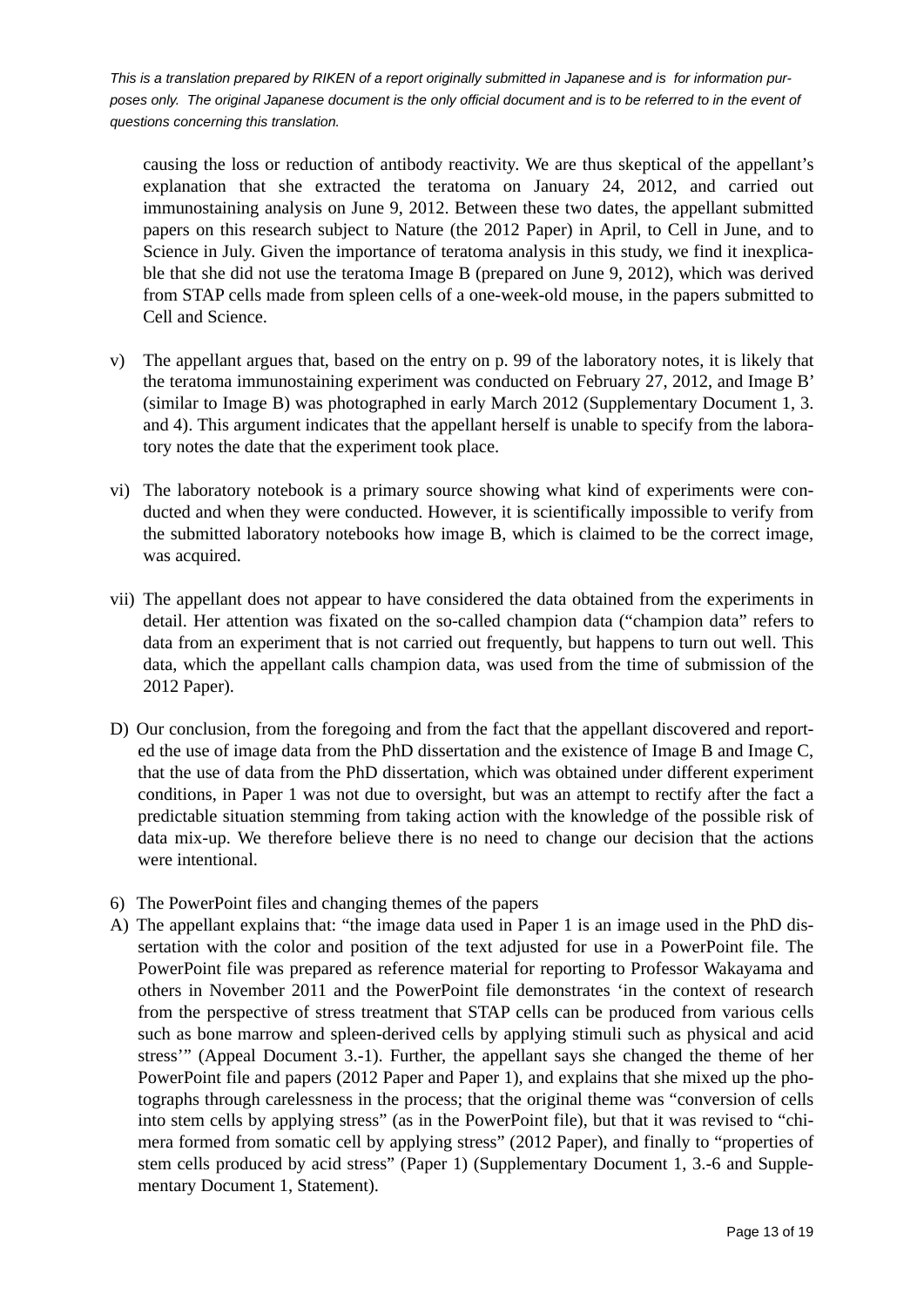causing the loss or reduction of antibody reactivity. We are thus skeptical of the appellant's explanation that she extracted the teratoma on January 24, 2012, and carried out immunostaining analysis on June 9, 2012. Between these two dates, the appellant submitted papers on this research subject to Nature (the 2012 Paper) in April, to Cell in June, and to Science in July. Given the importance of teratoma analysis in this study, we find it inexplicable that she did not use the teratoma Image B (prepared on June 9, 2012), which was derived from STAP cells made from spleen cells of a one-week-old mouse, in the papers submitted to Cell and Science.

- v) The appellant argues that, based on the entry on p. 99 of the laboratory notes, it is likely that the teratoma immunostaining experiment was conducted on February 27, 2012, and Image B' (similar to Image B) was photographed in early March 2012 (Supplementary Document 1, 3. and 4). This argument indicates that the appellant herself is unable to specify from the laboratory notes the date that the experiment took place.
- vi) The laboratory notebook is a primary source showing what kind of experiments were conducted and when they were conducted. However, it is scientifically impossible to verify from the submitted laboratory notebooks how image B, which is claimed to be the correct image, was acquired.
- vii) The appellant does not appear to have considered the data obtained from the experiments in detail. Her attention was fixated on the so-called champion data ("champion data" refers to data from an experiment that is not carried out frequently, but happens to turn out well. This data, which the appellant calls champion data, was used from the time of submission of the 2012 Paper).
- D) Our conclusion, from the foregoing and from the fact that the appellant discovered and reported the use of image data from the PhD dissertation and the existence of Image B and Image C, that the use of data from the PhD dissertation, which was obtained under different experiment conditions, in Paper 1 was not due to oversight, but was an attempt to rectify after the fact a predictable situation stemming from taking action with the knowledge of the possible risk of data mix-up. We therefore believe there is no need to change our decision that the actions were intentional.
- 6) The PowerPoint files and changing themes of the papers
- A) The appellant explains that: "the image data used in Paper 1 is an image used in the PhD dissertation with the color and position of the text adjusted for use in a PowerPoint file. The PowerPoint file was prepared as reference material for reporting to Professor Wakayama and others in November 2011 and the PowerPoint file demonstrates 'in the context of research from the perspective of stress treatment that STAP cells can be produced from various cells such as bone marrow and spleen-derived cells by applying stimuli such as physical and acid stress'" (Appeal Document 3.-1). Further, the appellant says she changed the theme of her PowerPoint file and papers (2012 Paper and Paper 1), and explains that she mixed up the photographs through carelessness in the process; that the original theme was "conversion of cells into stem cells by applying stress" (as in the PowerPoint file), but that it was revised to "chimera formed from somatic cell by applying stress" (2012 Paper), and finally to "properties of stem cells produced by acid stress" (Paper 1) (Supplementary Document 1, 3.-6 and Supplementary Document 1, Statement).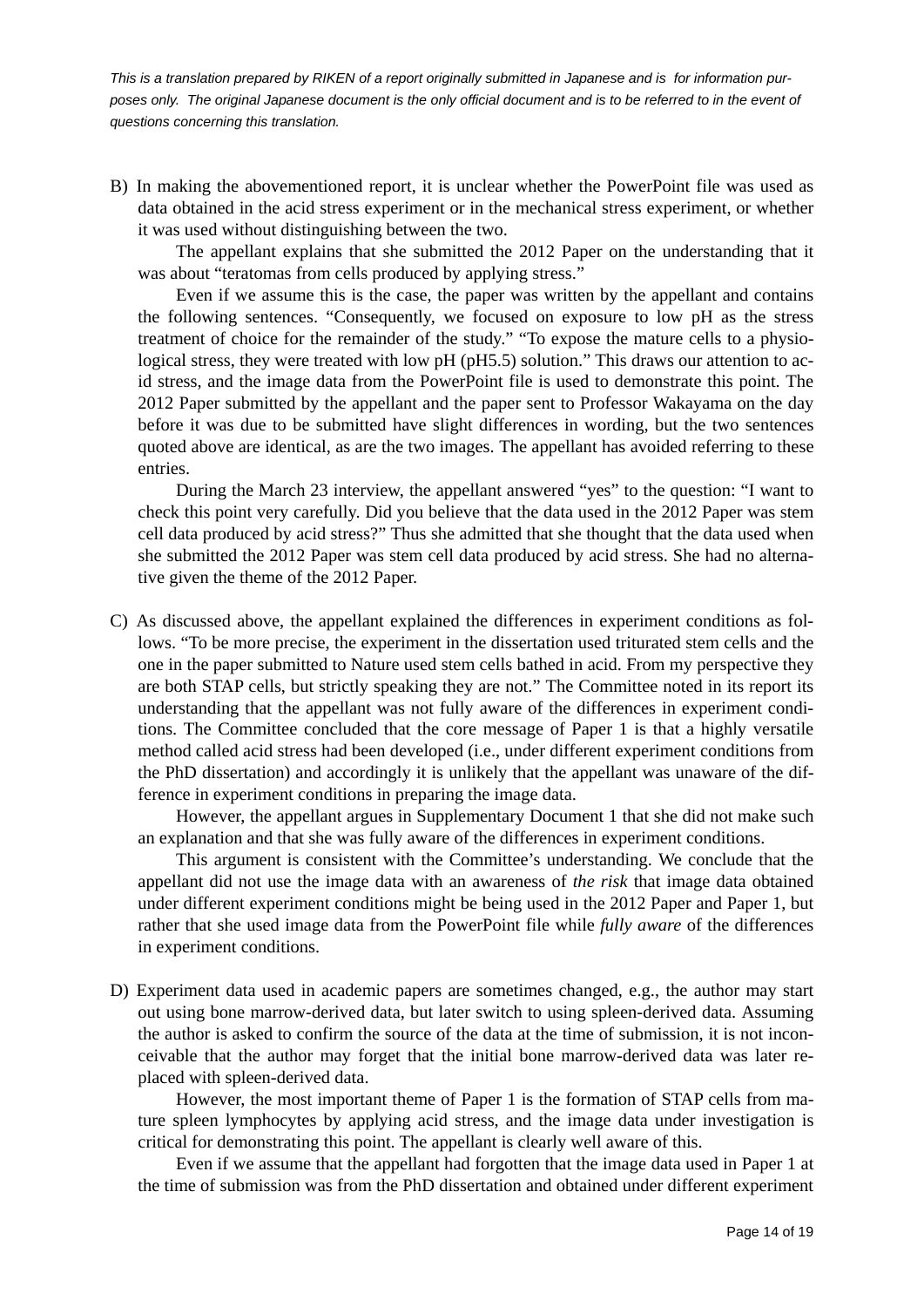B) In making the abovementioned report, it is unclear whether the PowerPoint file was used as data obtained in the acid stress experiment or in the mechanical stress experiment, or whether it was used without distinguishing between the two.

 The appellant explains that she submitted the 2012 Paper on the understanding that it was about "teratomas from cells produced by applying stress."

 Even if we assume this is the case, the paper was written by the appellant and contains the following sentences. "Consequently, we focused on exposure to low pH as the stress treatment of choice for the remainder of the study." "To expose the mature cells to a physiological stress, they were treated with low pH (pH5.5) solution." This draws our attention to acid stress, and the image data from the PowerPoint file is used to demonstrate this point. The 2012 Paper submitted by the appellant and the paper sent to Professor Wakayama on the day before it was due to be submitted have slight differences in wording, but the two sentences quoted above are identical, as are the two images. The appellant has avoided referring to these entries.

 During the March 23 interview, the appellant answered "yes" to the question: "I want to check this point very carefully. Did you believe that the data used in the 2012 Paper was stem cell data produced by acid stress?" Thus she admitted that she thought that the data used when she submitted the 2012 Paper was stem cell data produced by acid stress. She had no alternative given the theme of the 2012 Paper.

C) As discussed above, the appellant explained the differences in experiment conditions as follows. "To be more precise, the experiment in the dissertation used triturated stem cells and the one in the paper submitted to Nature used stem cells bathed in acid. From my perspective they are both STAP cells, but strictly speaking they are not." The Committee noted in its report its understanding that the appellant was not fully aware of the differences in experiment conditions. The Committee concluded that the core message of Paper 1 is that a highly versatile method called acid stress had been developed (i.e., under different experiment conditions from the PhD dissertation) and accordingly it is unlikely that the appellant was unaware of the difference in experiment conditions in preparing the image data.

 However, the appellant argues in Supplementary Document 1 that she did not make such an explanation and that she was fully aware of the differences in experiment conditions.

 This argument is consistent with the Committee's understanding. We conclude that the appellant did not use the image data with an awareness of *the risk* that image data obtained under different experiment conditions might be being used in the 2012 Paper and Paper 1, but rather that she used image data from the PowerPoint file while *fully aware* of the differences in experiment conditions.

D) Experiment data used in academic papers are sometimes changed, e.g., the author may start out using bone marrow-derived data, but later switch to using spleen-derived data. Assuming the author is asked to confirm the source of the data at the time of submission, it is not inconceivable that the author may forget that the initial bone marrow-derived data was later replaced with spleen-derived data.

 However, the most important theme of Paper 1 is the formation of STAP cells from mature spleen lymphocytes by applying acid stress, and the image data under investigation is critical for demonstrating this point. The appellant is clearly well aware of this.

 Even if we assume that the appellant had forgotten that the image data used in Paper 1 at the time of submission was from the PhD dissertation and obtained under different experiment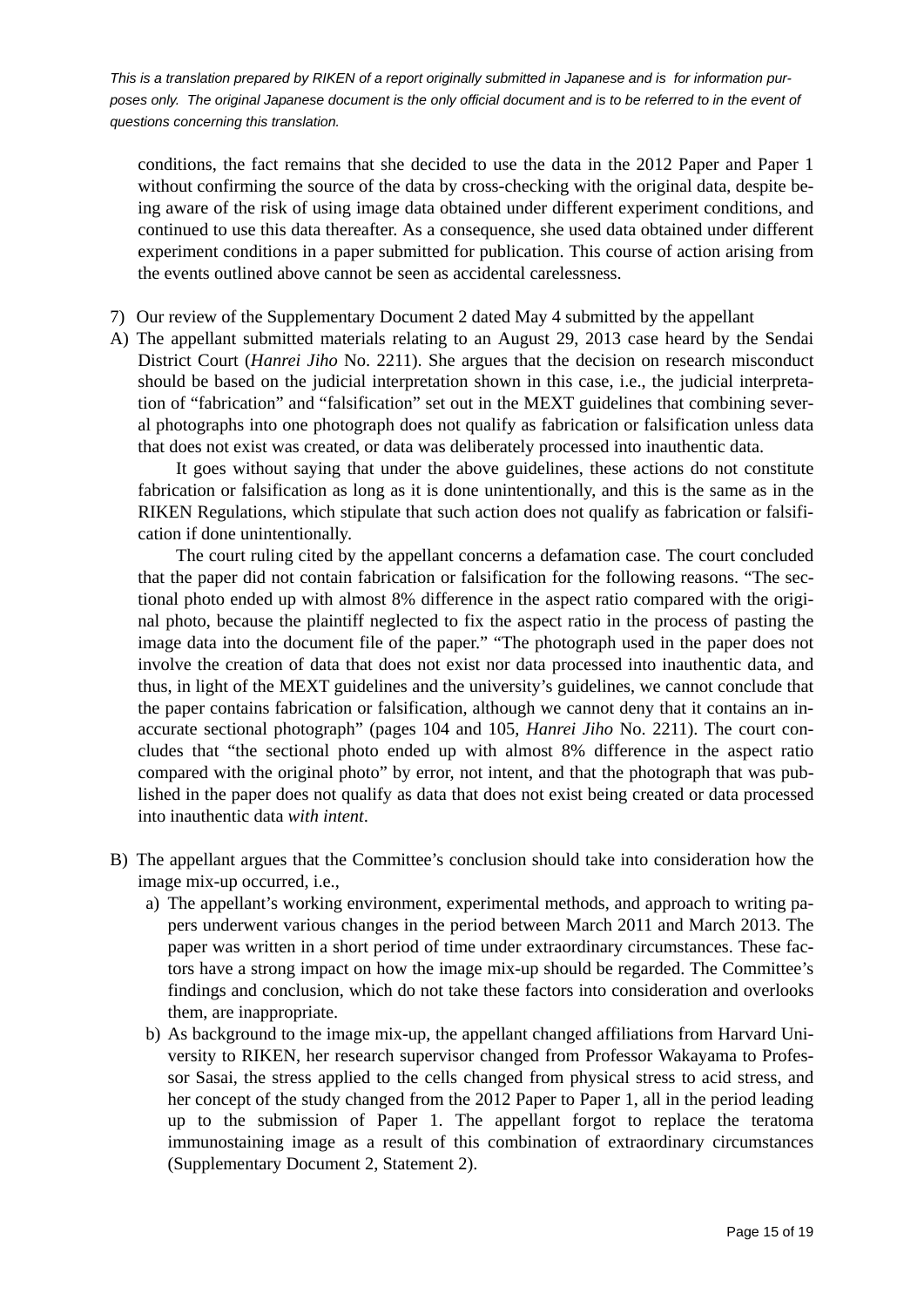conditions, the fact remains that she decided to use the data in the 2012 Paper and Paper 1 without confirming the source of the data by cross-checking with the original data, despite being aware of the risk of using image data obtained under different experiment conditions, and continued to use this data thereafter. As a consequence, she used data obtained under different experiment conditions in a paper submitted for publication. This course of action arising from the events outlined above cannot be seen as accidental carelessness.

- 7) Our review of the Supplementary Document 2 dated May 4 submitted by the appellant
- A) The appellant submitted materials relating to an August 29, 2013 case heard by the Sendai District Court (*Hanrei Jiho* No. 2211). She argues that the decision on research misconduct should be based on the judicial interpretation shown in this case, i.e., the judicial interpretation of "fabrication" and "falsification" set out in the MEXT guidelines that combining several photographs into one photograph does not qualify as fabrication or falsification unless data that does not exist was created, or data was deliberately processed into inauthentic data.

 It goes without saying that under the above guidelines, these actions do not constitute fabrication or falsification as long as it is done unintentionally, and this is the same as in the RIKEN Regulations, which stipulate that such action does not qualify as fabrication or falsification if done unintentionally.

 The court ruling cited by the appellant concerns a defamation case. The court concluded that the paper did not contain fabrication or falsification for the following reasons. "The sectional photo ended up with almost 8% difference in the aspect ratio compared with the original photo, because the plaintiff neglected to fix the aspect ratio in the process of pasting the image data into the document file of the paper." "The photograph used in the paper does not involve the creation of data that does not exist nor data processed into inauthentic data, and thus, in light of the MEXT guidelines and the university's guidelines, we cannot conclude that the paper contains fabrication or falsification, although we cannot deny that it contains an inaccurate sectional photograph" (pages 104 and 105, *Hanrei Jiho* No. 2211). The court concludes that "the sectional photo ended up with almost 8% difference in the aspect ratio compared with the original photo" by error, not intent, and that the photograph that was published in the paper does not qualify as data that does not exist being created or data processed into inauthentic data *with intent*.

- B) The appellant argues that the Committee's conclusion should take into consideration how the image mix-up occurred, i.e.,
	- a) The appellant's working environment, experimental methods, and approach to writing papers underwent various changes in the period between March 2011 and March 2013. The paper was written in a short period of time under extraordinary circumstances. These factors have a strong impact on how the image mix-up should be regarded. The Committee's findings and conclusion, which do not take these factors into consideration and overlooks them, are inappropriate.
	- b) As background to the image mix-up, the appellant changed affiliations from Harvard University to RIKEN, her research supervisor changed from Professor Wakayama to Professor Sasai, the stress applied to the cells changed from physical stress to acid stress, and her concept of the study changed from the 2012 Paper to Paper 1, all in the period leading up to the submission of Paper 1. The appellant forgot to replace the teratoma immunostaining image as a result of this combination of extraordinary circumstances (Supplementary Document 2, Statement 2).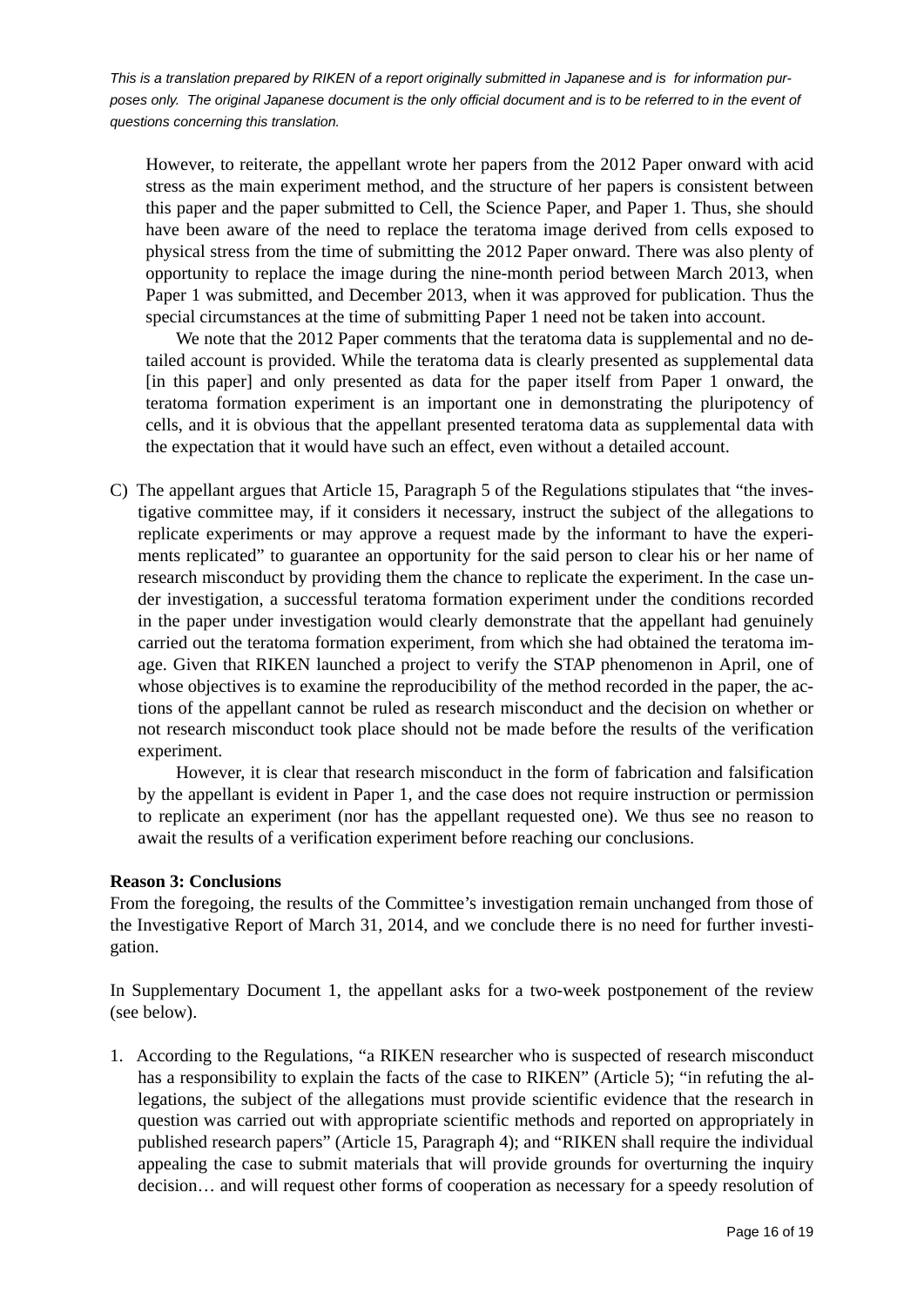However, to reiterate, the appellant wrote her papers from the 2012 Paper onward with acid stress as the main experiment method, and the structure of her papers is consistent between this paper and the paper submitted to Cell, the Science Paper, and Paper 1. Thus, she should have been aware of the need to replace the teratoma image derived from cells exposed to physical stress from the time of submitting the 2012 Paper onward. There was also plenty of opportunity to replace the image during the nine-month period between March 2013, when Paper 1 was submitted, and December 2013, when it was approved for publication. Thus the special circumstances at the time of submitting Paper 1 need not be taken into account.

We note that the 2012 Paper comments that the teratoma data is supplemental and no detailed account is provided. While the teratoma data is clearly presented as supplemental data [in this paper] and only presented as data for the paper itself from Paper 1 onward, the teratoma formation experiment is an important one in demonstrating the pluripotency of cells, and it is obvious that the appellant presented teratoma data as supplemental data with the expectation that it would have such an effect, even without a detailed account.

C) The appellant argues that Article 15, Paragraph 5 of the Regulations stipulates that "the investigative committee may, if it considers it necessary, instruct the subject of the allegations to replicate experiments or may approve a request made by the informant to have the experiments replicated" to guarantee an opportunity for the said person to clear his or her name of research misconduct by providing them the chance to replicate the experiment. In the case under investigation, a successful teratoma formation experiment under the conditions recorded in the paper under investigation would clearly demonstrate that the appellant had genuinely carried out the teratoma formation experiment, from which she had obtained the teratoma image. Given that RIKEN launched a project to verify the STAP phenomenon in April, one of whose objectives is to examine the reproducibility of the method recorded in the paper, the actions of the appellant cannot be ruled as research misconduct and the decision on whether or not research misconduct took place should not be made before the results of the verification experiment.

 However, it is clear that research misconduct in the form of fabrication and falsification by the appellant is evident in Paper 1, and the case does not require instruction or permission to replicate an experiment (nor has the appellant requested one). We thus see no reason to await the results of a verification experiment before reaching our conclusions.

#### **Reason 3: Conclusions**

From the foregoing, the results of the Committee's investigation remain unchanged from those of the Investigative Report of March 31, 2014, and we conclude there is no need for further investigation.

In Supplementary Document 1, the appellant asks for a two-week postponement of the review (see below).

1. According to the Regulations, "a RIKEN researcher who is suspected of research misconduct has a responsibility to explain the facts of the case to RIKEN" (Article 5); "in refuting the allegations, the subject of the allegations must provide scientific evidence that the research in question was carried out with appropriate scientific methods and reported on appropriately in published research papers" (Article 15, Paragraph 4); and "RIKEN shall require the individual appealing the case to submit materials that will provide grounds for overturning the inquiry decision… and will request other forms of cooperation as necessary for a speedy resolution of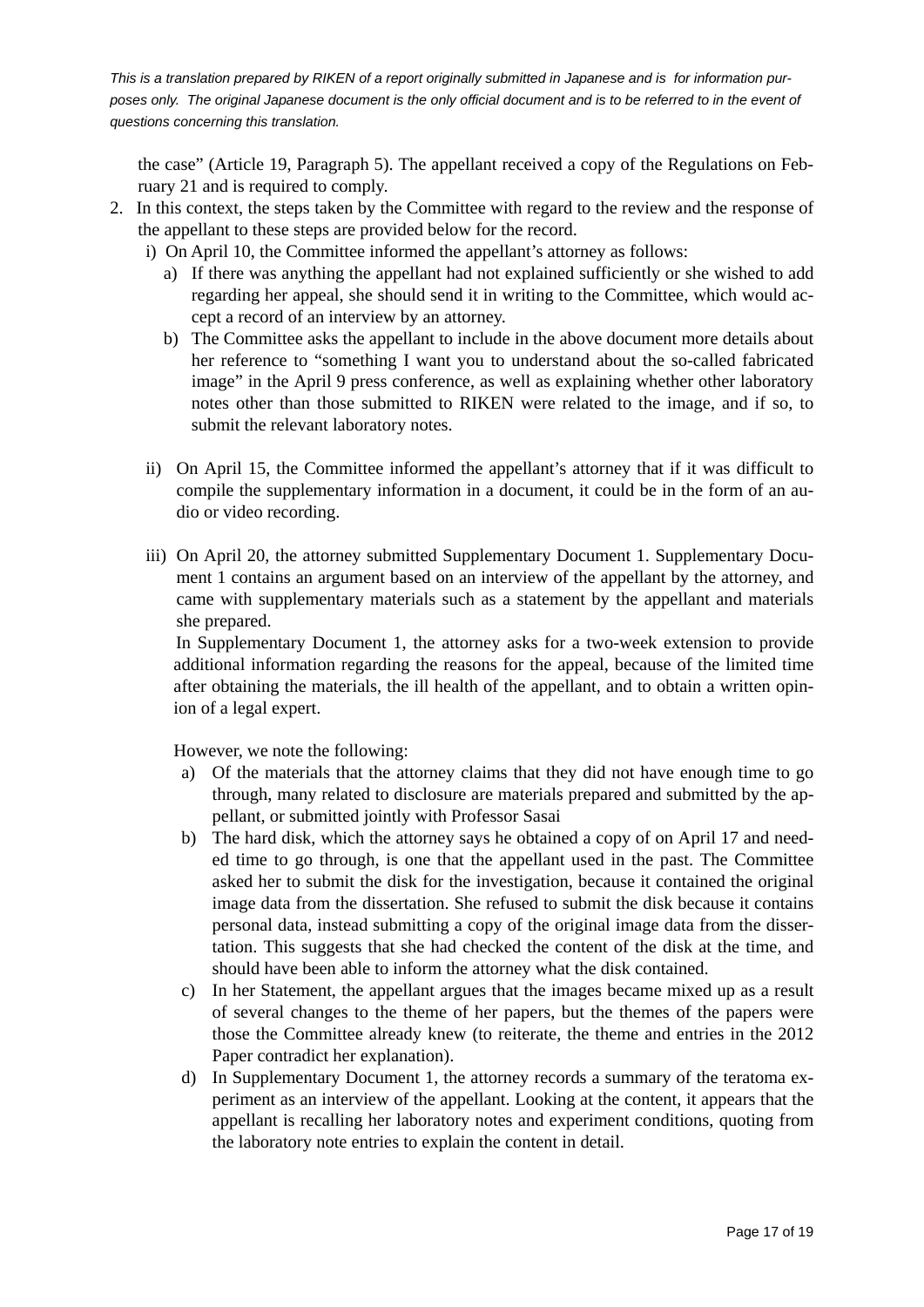the case" (Article 19, Paragraph 5). The appellant received a copy of the Regulations on February 21 and is required to comply.

- 2. In this context, the steps taken by the Committee with regard to the review and the response of the appellant to these steps are provided below for the record.
	- i) On April 10, the Committee informed the appellant's attorney as follows:
		- a) If there was anything the appellant had not explained sufficiently or she wished to add regarding her appeal, she should send it in writing to the Committee, which would accept a record of an interview by an attorney.
		- b) The Committee asks the appellant to include in the above document more details about her reference to "something I want you to understand about the so-called fabricated image" in the April 9 press conference, as well as explaining whether other laboratory notes other than those submitted to RIKEN were related to the image, and if so, to submit the relevant laboratory notes.
	- ii) On April 15, the Committee informed the appellant's attorney that if it was difficult to compile the supplementary information in a document, it could be in the form of an audio or video recording.
	- iii) On April 20, the attorney submitted Supplementary Document 1. Supplementary Document 1 contains an argument based on an interview of the appellant by the attorney, and came with supplementary materials such as a statement by the appellant and materials she prepared.

 In Supplementary Document 1, the attorney asks for a two-week extension to provide additional information regarding the reasons for the appeal, because of the limited time after obtaining the materials, the ill health of the appellant, and to obtain a written opinion of a legal expert.

However, we note the following:

- a) Of the materials that the attorney claims that they did not have enough time to go through, many related to disclosure are materials prepared and submitted by the appellant, or submitted jointly with Professor Sasai
- b) The hard disk, which the attorney says he obtained a copy of on April 17 and needed time to go through, is one that the appellant used in the past. The Committee asked her to submit the disk for the investigation, because it contained the original image data from the dissertation. She refused to submit the disk because it contains personal data, instead submitting a copy of the original image data from the dissertation. This suggests that she had checked the content of the disk at the time, and should have been able to inform the attorney what the disk contained.
- c) In her Statement, the appellant argues that the images became mixed up as a result of several changes to the theme of her papers, but the themes of the papers were those the Committee already knew (to reiterate, the theme and entries in the 2012 Paper contradict her explanation).
- d) In Supplementary Document 1, the attorney records a summary of the teratoma experiment as an interview of the appellant. Looking at the content, it appears that the appellant is recalling her laboratory notes and experiment conditions, quoting from the laboratory note entries to explain the content in detail.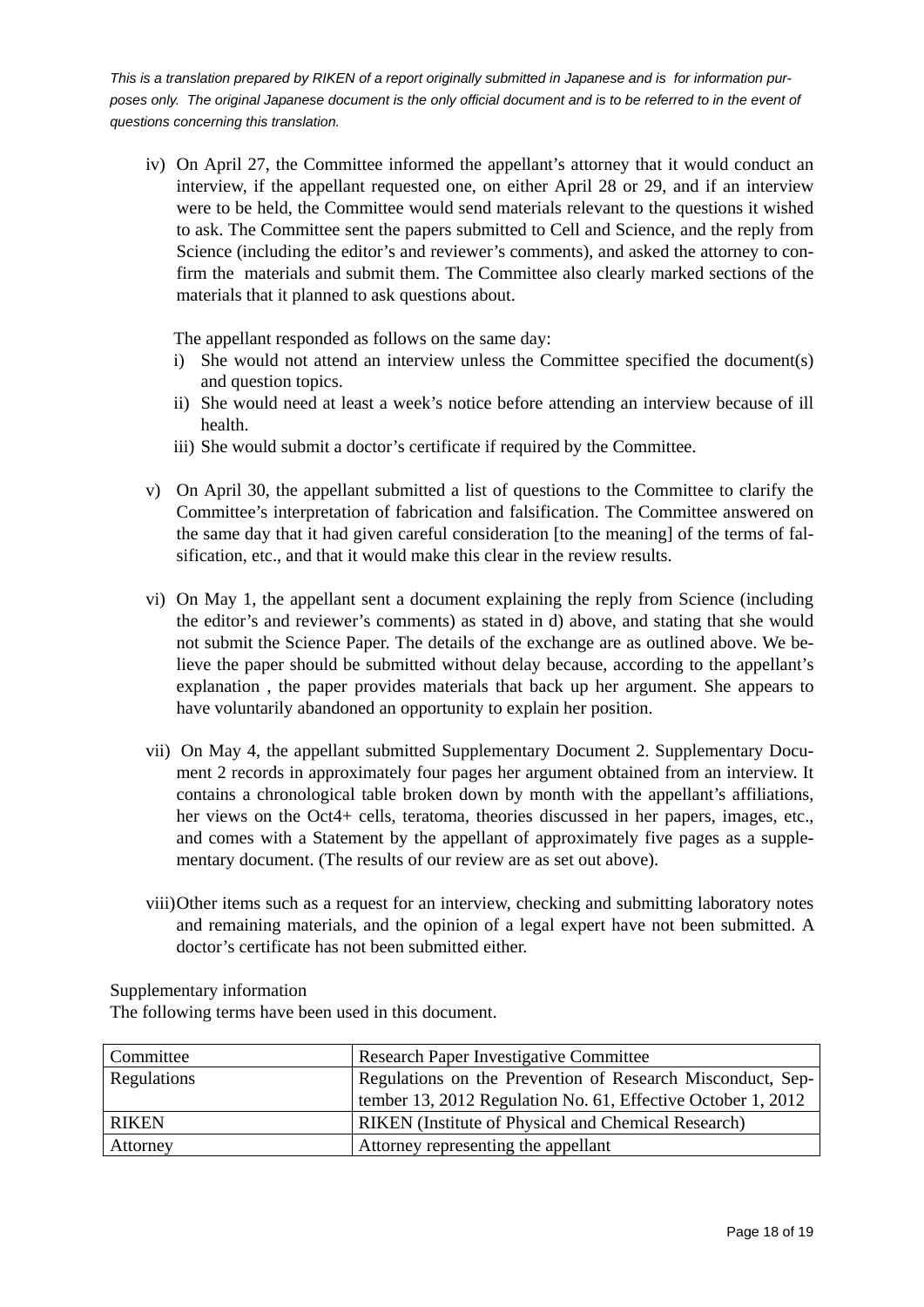iv) On April 27, the Committee informed the appellant's attorney that it would conduct an interview, if the appellant requested one, on either April 28 or 29, and if an interview were to be held, the Committee would send materials relevant to the questions it wished to ask. The Committee sent the papers submitted to Cell and Science, and the reply from Science (including the editor's and reviewer's comments), and asked the attorney to confirm the materials and submit them. The Committee also clearly marked sections of the materials that it planned to ask questions about.

The appellant responded as follows on the same day:

- i) She would not attend an interview unless the Committee specified the document(s) and question topics.
- ii) She would need at least a week's notice before attending an interview because of ill health.
- iii) She would submit a doctor's certificate if required by the Committee.
- v) On April 30, the appellant submitted a list of questions to the Committee to clarify the Committee's interpretation of fabrication and falsification. The Committee answered on the same day that it had given careful consideration [to the meaning] of the terms of falsification, etc., and that it would make this clear in the review results.
- vi) On May 1, the appellant sent a document explaining the reply from Science (including the editor's and reviewer's comments) as stated in d) above, and stating that she would not submit the Science Paper. The details of the exchange are as outlined above. We believe the paper should be submitted without delay because, according to the appellant's explanation , the paper provides materials that back up her argument. She appears to have voluntarily abandoned an opportunity to explain her position.
- vii) On May 4, the appellant submitted Supplementary Document 2. Supplementary Document 2 records in approximately four pages her argument obtained from an interview. It contains a chronological table broken down by month with the appellant's affiliations, her views on the Oct4+ cells, teratoma, theories discussed in her papers, images, etc., and comes with a Statement by the appellant of approximately five pages as a supplementary document. (The results of our review are as set out above).
- viii) Other items such as a request for an interview, checking and submitting laboratory notes and remaining materials, and the opinion of a legal expert have not been submitted. A doctor's certificate has not been submitted either.

### Supplementary information

The following terms have been used in this document.

| Committee    | <b>Research Paper Investigative Committee</b>                |
|--------------|--------------------------------------------------------------|
| Regulations  | Regulations on the Prevention of Research Misconduct, Sep-   |
|              | tember 13, 2012 Regulation No. 61, Effective October 1, 2012 |
| <b>RIKEN</b> | RIKEN (Institute of Physical and Chemical Research)          |
| Attorney     | Attorney representing the appellant                          |